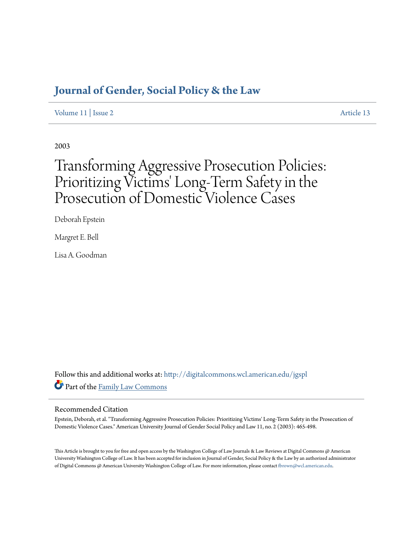# **[Journal of Gender, Social Policy & the Law](http://digitalcommons.wcl.american.edu/jgspl?utm_source=digitalcommons.wcl.american.edu%2Fjgspl%2Fvol11%2Fiss2%2F13&utm_medium=PDF&utm_campaign=PDFCoverPages)**

[Volume 11](http://digitalcommons.wcl.american.edu/jgspl/vol11?utm_source=digitalcommons.wcl.american.edu%2Fjgspl%2Fvol11%2Fiss2%2F13&utm_medium=PDF&utm_campaign=PDFCoverPages) | [Issue 2](http://digitalcommons.wcl.american.edu/jgspl/vol11/iss2?utm_source=digitalcommons.wcl.american.edu%2Fjgspl%2Fvol11%2Fiss2%2F13&utm_medium=PDF&utm_campaign=PDFCoverPages) [Article 13](http://digitalcommons.wcl.american.edu/jgspl/vol11/iss2/13?utm_source=digitalcommons.wcl.american.edu%2Fjgspl%2Fvol11%2Fiss2%2F13&utm_medium=PDF&utm_campaign=PDFCoverPages)

2003

# Transforming Aggressive Prosecution Policies: Prioritizing Victims' Long-Term Safety in the Prosecution of Domestic Violence Cases

Deborah Epstein

Margret E. Bell

Lisa A. Goodman

Follow this and additional works at: [http://digitalcommons.wcl.american.edu/jgspl](http://digitalcommons.wcl.american.edu/jgspl?utm_source=digitalcommons.wcl.american.edu%2Fjgspl%2Fvol11%2Fiss2%2F13&utm_medium=PDF&utm_campaign=PDFCoverPages) Part of the [Family Law Commons](http://network.bepress.com/hgg/discipline/602?utm_source=digitalcommons.wcl.american.edu%2Fjgspl%2Fvol11%2Fiss2%2F13&utm_medium=PDF&utm_campaign=PDFCoverPages)

# Recommended Citation

Epstein, Deborah, et al. "Transforming Aggressive Prosecution Policies: Prioritizing Victims' Long-Term Safety in the Prosecution of Domestic Violence Cases." American University Journal of Gender Social Policy and Law 11, no. 2 (2003): 465-498.

This Article is brought to you for free and open access by the Washington College of Law Journals & Law Reviews at Digital Commons @ American University Washington College of Law. It has been accepted for inclusion in Journal of Gender, Social Policy & the Law by an authorized administrator of Digital Commons @ American University Washington College of Law. For more information, please contact [fbrown@wcl.american.edu.](mailto:fbrown@wcl.american.edu)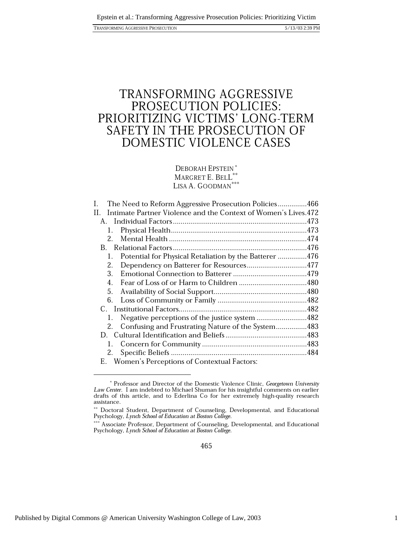| <b>TRANSFORMING AGGRESSIVE PROSECUTION</b> |
|--------------------------------------------|
|--------------------------------------------|

# TRANSFORMING AGGRESSIVE PROSECUTION POLICIES: PRIORITIZING VICTIMS' LONG-TERM SAFETY IN THE PROSECUTION OF DOMESTIC VIOLENCE CASES

DEBORAH EPSTEIN<sup>\*</sup> MARGRET E. BELL\*\* LISA A. GOODMAN\*\*\*

| The Need to Reform Aggressive Prosecution Policies466               |  |
|---------------------------------------------------------------------|--|
| II. Intimate Partner Violence and the Context of Women's Lives. 472 |  |
|                                                                     |  |
| 1.                                                                  |  |
| 2.                                                                  |  |
|                                                                     |  |
| Potential for Physical Retaliation by the Batterer 476<br>1.        |  |
| Dependency on Batterer for Resources477<br>2.                       |  |
| 3.                                                                  |  |
| 4.                                                                  |  |
| 5.                                                                  |  |
| 6.                                                                  |  |
|                                                                     |  |
| Negative perceptions of the justice system 482<br>1.                |  |
| Confusing and Frustrating Nature of the System483<br>2.             |  |
|                                                                     |  |
|                                                                     |  |
| 2.                                                                  |  |
| E Women's Persontians of Contextual Fectors:                        |  |

Women s Perceptions of Contextual Factors: Е.

 $^\ast$  Professor and Director of the Domestic Violence Clinic, Georgetown University Law Center. I am indebted to Michael Shuman for his insightful comments on earlier drafts of this article, and to Ederlina Co for her extremely high-quality research assistance.

<sup>\*\*</sup> Doctoral Student, Department of Counseling, Developmental, and Educational Psychology, Lynch School of Education at Boston College.

Associate Professor, Department of Counseling, Developmental, and Educational Psychology, Lynch School of Education at Boston College.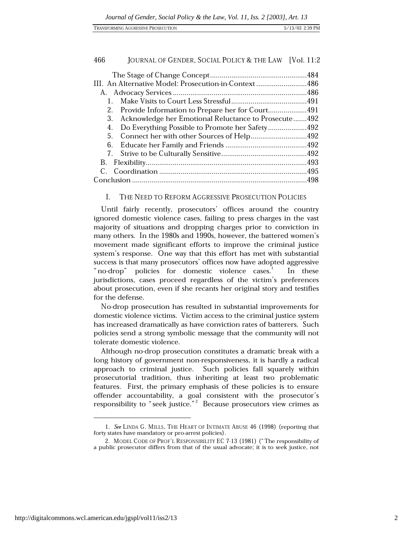| III. An Alternative Model: Prosecution-in-Context 486       |  |
|-------------------------------------------------------------|--|
|                                                             |  |
| $1_{-}$                                                     |  |
| 2. Provide Information to Prepare her for Court491          |  |
| Acknowledge her Emotional Reluctance to Prosecute492<br>3.  |  |
| 4.                                                          |  |
| Connect her with other Sources of Help492<br>5 <sub>1</sub> |  |
|                                                             |  |
|                                                             |  |
|                                                             |  |
|                                                             |  |
|                                                             |  |

#### THE NEED TO REFORM AGGRESSIVE PROSECUTION POLICIES  $\mathbf{I}$ .

Until fairly recently, prosecutors' offices around the country ignored domestic violence cases, failing to press charges in the vast majority of situations and dropping charges prior to conviction in many others. In the 1980s and 1990s, however, the battered women's movement made significant efforts to improve the criminal justice system's response. One way that this effort has met with substantial success is that many prosecutors' offices now have adopted aggressive " no-drop" policies for domestic violence cases. In these jurisdictions, cases proceed regardless of the victim's preferences about prosecution, even if she recants her original story and testifies for the defense.

No-drop prosecution has resulted in substantial improvements for domestic violence victims. Victim access to the criminal justice system has increased dramatically as have conviction rates of batterers. Such policies send a strong symbolic message that the community will not tolerate domestic violence.

Although no-drop prosecution constitutes a dramatic break with a long history of government non-responsiveness, it is hardly a radical approach to criminal justice. Such policies fall squarely within prosecutorial tradition, thus inheriting at least two problematic features. First, the primary emphasis of these policies is to ensure offender accountability, a goal consistent with the prosecutor's responsibility to "seek justice."<sup>2</sup> Because prosecutors view crimes as

<sup>1.</sup> See LINDA G. MILLS, THE HEART OF INTIMATE ABUSE 46 (1998) (reporting that forty states have mandatory or pro-arrest policies).

<sup>2.</sup> MODEL CODE OF PROF'L RESPONSIBILITY EC 7-13 (1981) ("The responsibility of a public prosecutor differs from that of the usual advocate; it is to seek justice, not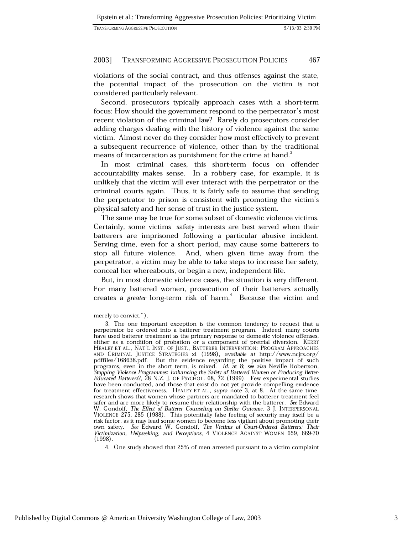| TRANSFORMING AGGRESSIVE PROSECUTION | 5/13/03 2:39 PM |
|-------------------------------------|-----------------|

violations of the social contract, and thus offenses against the state, the potential impact of the prosecution on the victim is not considered particularly relevant.

Second, prosecutors typically approach cases with a short-term focus: How should the government respond to the perpetrator's most recent violation of the criminal law? Rarely do prosecutors consider adding charges dealing with the history of violence against the same victim. Almost never do they consider how most effectively to prevent a subsequent recurrence of violence, other than by the traditional means of incarceration as punishment for the crime at hand.<sup>3</sup>

In most criminal cases, this short-term focus on offender accountability makes sense. In a robbery case, for example, it is unlikely that the victim will ever interact with the perpetrator or the criminal courts again. Thus, it is fairly safe to assume that sending the perpetrator to prison is consistent with promoting the victim's physical safety and her sense of trust in the justice system.

The same may be true for some subset of domestic violence victims. Certainly, some victims' safety interests are best served when their batterers are imprisoned following a particular abusive incident. Serving time, even for a short period, may cause some batterers to stop all future violence. And, when given time away from the perpetrator, a victim may be able to take steps to increase her safety, conceal her whereabouts, or begin a new, independent life.

But, in most domestic violence cases, the situation is very different. For many battered women, prosecution of their batterers actually creates a greater long-term risk of harm.<sup>4</sup> Because the victim and

merely to convict.").

<sup>3.</sup> The one important exception is the common tendency to request that a perpetrator be ordered into a batterer treatment program. Indeed, many courts have used batterer treatment as the primary response to domestic violence offenses, either as a condition of probation or a component of pretrial diversion. KERRY HEALEY ET AL., NAT'L INST. OF JUST., BATTERER INTERVENTION: PROGRAM APPROACHES AND CRIMINAL JUSTICE STRATEGIES xi (1998), available at http://www.ncjrs.org/ pdffiles/168638.pdf. But the evidence regarding the positive impact of such<br>programs, even in the short term, is mixed. Id. at 8; see also Neville Robertson, Stopping Violence Programmes: Enhancing the Safety of Battered Women or Producing Better-Educated Batterers?, 28 N.Z. J. OF PSYCHOL. 68, 72 (1999). Few experimental studies have been conducted, and those that exist do not yet provide compelling evidence for treatment effectiveness. HEALEY ET AL., supra note 3, at 8. At the same time, research shows that women whose partners are mandated to batterer treatment feel safer and are more likely to resume their relationship with the batterer. See Edward W. Gondolf, The Effect of Batterer Counseling on Shelter Outcome, 3 J. INTERPERSONAL VIOLENCE 275, 285 (1988). This potentially false feeling of security may itself be a risk factor, as it may lead some women to become less vigilant about promoting their See Edward W. Gondolf, The Victims of Court-Ordered Batterers: Their own safety. Victimization, Helpseeking, and Perceptions, 4 VIOLENCE AGAINST WOMEN 659, 669-70  $(1998)$ .

<sup>4.</sup> One study showed that 25% of men arrested pursuant to a victim complaint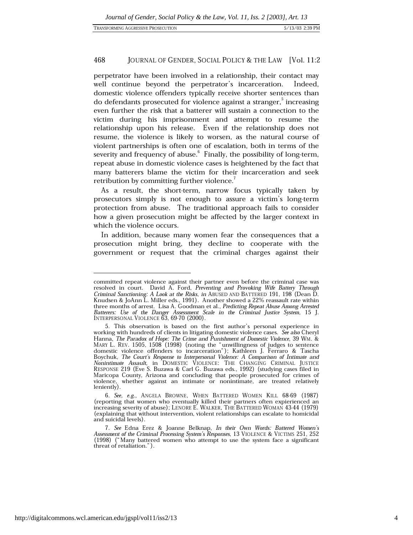perpetrator have been involved in a relationship, their contact may well continue beyond the perpetrator's incarceration. Indeed, domestic violence offenders typically receive shorter sentences than do defendants prosecuted for violence against a stranger, increasing even further the risk that a batterer will sustain a connection to the victim during his imprisonment and attempt to resume the relationship upon his release. Even if the relationship does not resume, the violence is likely to worsen, as the natural course of violent partnerships is often one of escalation, both in terms of the severity and frequency of abuse. Finally, the possibility of long-term, repeat abuse in domestic violence cases is heightened by the fact that many batterers blame the victim for their incarceration and seek retribution by committing further violence.

As a result, the short-term, narrow focus typically taken by prosecutors simply is not enough to assure a victim's long-term protection from abuse. The traditional approach fails to consider how a given prosecution might be affected by the larger context in which the violence occurs.

In addition, because many women fear the consequences that a prosecution might bring, they decline to cooperate with the government or request that the criminal charges against their

committed repeat violence against their partner even before the criminal case was resolved in court. David A. Ford, Preventing and Provoking Wife Battery Through Criminal Sanctioning: A Look at the Risks, in ABUSED AND BATTERED 191, 198 (Dean D. Knudsen & JoAnn L. Miller eds., 1991). Another showed a 22% reassault rate within three months of arrest. Lisa A. Goodman et al., Predicting Repeat Abuse Among Arrested Batterers: Use of the Danger Assessment Scale in the Criminal Justice System, 15 J. INTERPERSONAL VIOLENCE 63, 69-70 (2000).

<sup>5.</sup> This observation is based on the first author's personal experience in working with hundreds of clients in litigating domestic violence cases. See also Cheryl Hanna, The Paradox of Hope: The Crime and Punishment of Domestic Violence, 39 WM. & MARY L. REV. 1505, 1508 (1998) (noting the "unwillingness of judges to sentence domestic violence offenders to incarceration"); Kathleen J. Ferraro & Tascha Boychuk, The Court's Response to Interpersonal Violence: A Comparison of Intimate and Nonintimate Assault, in DOMESTIC VIOLENCE: THE CHANGING CRIMINAL JUSTICE RESPONSE 219 (Eve S. Buzawa & Carl G. Buzawa eds., 1992) (studying cases filed in Maricopa County, Arizona and concluding that people prosecuted for crimes of violence, whether against an intimate or nonintimate, are treated relatively leniently).

<sup>6.</sup> See, e.g., ANGELA BROWNE, WHEN BATTERED WOMEN KILL 68-69 (1987) (reporting that women who eventually killed their partners often expierienced an increasing severity of abuse); LENORE E. WALKER, THE BATTERED WOMAN 43-44 (1979) (explaining that without intervention, violent relationships can escalate to homicidal and suicidal levels).

<sup>7.</sup> See Edna Erez & Joanne Belknap, In their Own Words: Battered Women's Assessment of the Criminal Processing System's Responses, 13 VIOLENCE & VICTIMS 251, 252 (1998) ("Many battered women who attempt to use the system face a significant threat of retaliation.").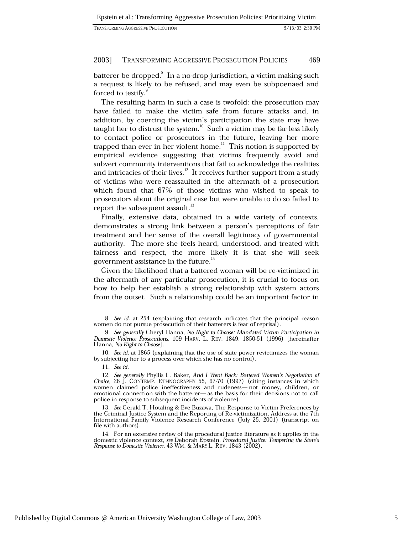|--|

batterer be dropped.<sup>8</sup> In a no-drop jurisdiction, a victim making such a request is likely to be refused, and may even be subpoenaed and forced to testify.

The resulting harm in such a case is twofold: the prosecution may have failed to make the victim safe from future attacks and, in addition, by coercing the victim's participation the state may have taught her to distrust the system.<sup>10</sup> Such a victim may be far less likely to contact police or prosecutors in the future, leaving her more trapped than ever in her violent home.<sup>11</sup> This notion is supported by empirical evidence suggesting that victims frequently avoid and subvert community interventions that fail to acknowledge the realities and intricacies of their lives. $12$  It receives further support from a study of victims who were reassaulted in the aftermath of a prosecution which found that 67% of those victims who wished to speak to prosecutors about the original case but were unable to do so failed to report the subsequent assault.<sup>13</sup>

Finally, extensive data, obtained in a wide variety of contexts, demonstrates a strong link between a person's perceptions of fair treatment and her sense of the overall legitimacy of governmental authority. The more she feels heard, understood, and treated with fairness and respect, the more likely it is that she will seek government assistance in the future.<sup>14</sup>

Given the likelihood that a battered woman will be re-victimized in the aftermath of any particular prosecution, it is crucial to focus on how to help her establish a strong relationship with system actors from the outset. Such a relationship could be an important factor in

<sup>8.</sup> See id. at 254 (explaining that research indicates that the principal reason women do not pursue prosecution of their batterers is fear of reprisal).

<sup>9.</sup> See generally Cheryl Hanna, No Right to Choose: Mandated Victim Participation in Domestic Violence Prosecutions, 109 HARV. L. REV. 1849, 1850-51 (1996) [hereinafter Hanna, No Right to Choose].

<sup>10.</sup> See id. at 1865 (explaining that the use of state power revictimizes the woman by subjecting her to a process over which she has no control).

<sup>11.</sup> See id.

<sup>12.</sup> See generally Phyllis L. Baker, And I Went Back: Battered Women's Negotiation of Choice, 26 J. CONTEMP. ETHNOGRAPHY 55, 67-70 (1997) (citing instances in which women claimed police ineffectiveness and rudeness—not money, children, or emotional connection with the batterer— as the basis for their decisions not to call police in response to subsequent incidents of violence).

<sup>13.</sup> See Gerald T. Hotaling & Eve Buzawa, The Response to Victim Preferences by the Criminal Justice System and the Reporting of Re-victimization, Address at the 7th International Family Violence Research Conference (July 25, 2001) (transcript on file with authors).

<sup>14.</sup> For an extensive review of the procedural justice literature as it applies in the domestic violence context, see Deborah Epstein, Procedural Justice: Tempering the State's Response to Domestic Violence, 43 WM. & MARY L. REV. 1843 (2002).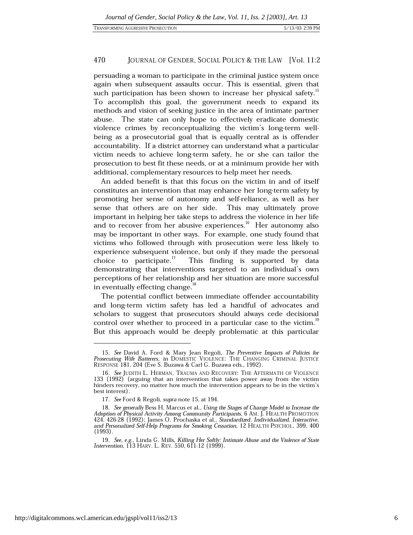persuading a woman to participate in the criminal justice system once again when subsequent assaults occur. This is essential, given that such participation has been shown to increase her physical safety.<sup>15</sup> To accomplish this goal, the government needs to expand its methods and vision of seeking justice in the area of intimate partner abuse. The state can only hope to effectively eradicate domestic violence crimes by reconceptualizing the victim's long-term wellbeing as a prosecutorial goal that is equally central as is offender accountability. If a district attorney can understand what a particular victim needs to achieve long-term safety, he or she can tailor the prosecution to best fit these needs, or at a minimum provide her with additional, complementary resources to help meet her needs.

An added benefit is that this focus on the victim in and of itself constitutes an intervention that may enhance her long-term safety by promoting her sense of autonomy and self-reliance, as well as her sense that others are on her side. This may ultimately prove important in helping her take steps to address the violence in her life and to recover from her abusive experiences.<sup>16</sup> Her autonomy also may be important in other ways. For example, one study found that victims who followed through with prosecution were less likely to experience subsequent violence, but only if they made the personal choice to participate.<sup>17</sup> This finding is supported by data demonstrating that interventions targeted to an individual's own perceptions of her relationship and her situation are more successful in eventually effecting change.<sup>18</sup>

The potential conflict between immediate offender accountability and long-term victim safety has led a handful of advocates and scholars to suggest that prosecutors should always cede decisional control over whether to proceed in a particular case to the victim.<sup>19</sup> But this approach would be deeply problematic at this particular

<sup>15.</sup> See David A. Ford & Mary Jean Regoli, The Preventive Impacts of Policies for Prosecuting Wife Batterers, in DOMESTIC VIOLENCE: THE CHANGING CRIMINAL JUSTICE RESPONSE 181, 204 (Eve S. Buzawa & Carl G. Buzawa eds., 1992).

<sup>16.</sup> See JUDITH L. HERMAN, TRAUMA AND RECOVERY: THE AFTERMATH OF VIOLENCE 133 (1992) (arguing that an intervention that takes power away from the victim hinders recovery, no matter how much the intervention appears to be in the victim's best interest).

<sup>17.</sup> See Ford & Regoli, supra note 15, at 194.

<sup>18.</sup> See generally Bess H. Marcus et al., Using the Stages of Change Model to Increase the Adoption of Physical Activity Among Community Participants, 6 AM. J. HEALTH PROMOTION 424, 426-28 (1992); James O. Prochaska et al., Standardized, Individualized, Interactive, and Personalized Self-Help Programs for Smoking Cessation, 12 HEALTH PSYCHOL. 399, 400  $(1993).$ 

<sup>19.</sup> See, e.g., Linda G. Mills, Killing Her Softly: Intimate Abuse and the Violence of State Intervention, 113 HARV. L. REV. 550, 611-12 (1999).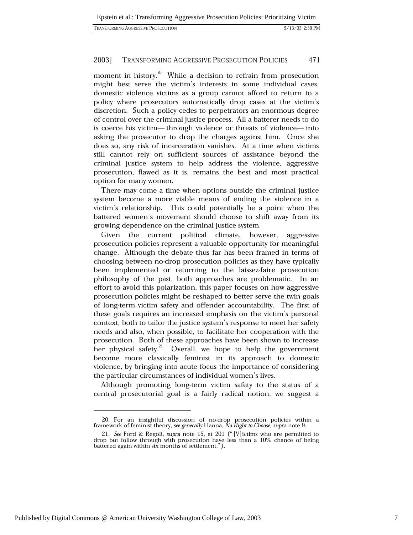moment in history.<sup>20</sup> While a decision to refrain from prosecution might best serve the victim's interests in some individual cases, domestic violence victims as a group cannot afford to return to a policy where prosecutors automatically drop cases at the victim's discretion. Such a policy cedes to perpetrators an enormous degree of control over the criminal justice process. All a batterer needs to do is coerce his victim—through violence or threats of violence—into asking the prosecutor to drop the charges against him. Once she does so, any risk of incarceration vanishes. At a time when victims still cannot rely on sufficient sources of assistance beyond the criminal justice system to help address the violence, aggressive prosecution, flawed as it is, remains the best and most practical option for many women.

There may come a time when options outside the criminal justice system become a more viable means of ending the violence in a victim's relationship. This could potentially be a point when the battered women's movement should choose to shift away from its growing dependence on the criminal justice system.

Given the current political climate, however, aggressive prosecution policies represent a valuable opportunity for meaningful change. Although the debate thus far has been framed in terms of choosing between no-drop prosecution policies as they have typically been implemented or returning to the laissez-faire prosecution philosophy of the past, both approaches are problematic. In an effort to avoid this polarization, this paper focuses on how aggressive prosecution policies might be reshaped to better serve the twin goals of long-term victim safety and offender accountability. The first of these goals requires an increased emphasis on the victim's personal context, both to tailor the justice system's response to meet her safety needs and also, when possible, to facilitate her cooperation with the prosecution. Both of these approaches have been shown to increase her physical safety.<sup>21</sup> Overall, we hope to help the government become more classically feminist in its approach to domestic violence, by bringing into acute focus the importance of considering the particular circumstances of individual women's lives.

Although promoting long-term victim safety to the status of a central prosecutorial goal is a fairly radical notion, we suggest a

<sup>20.</sup> For an insightful discussion of no-drop prosecution policies within a framework of feminist theory, see generally Hanna, No Right to Choose, supra note 9.

<sup>21.</sup> See Ford & Regoli, supra note 15, at 201 ("|V|ictims who are permitted to drop but follow through with prosecution have less than a 10% chance of being battered again within six months of settlement.").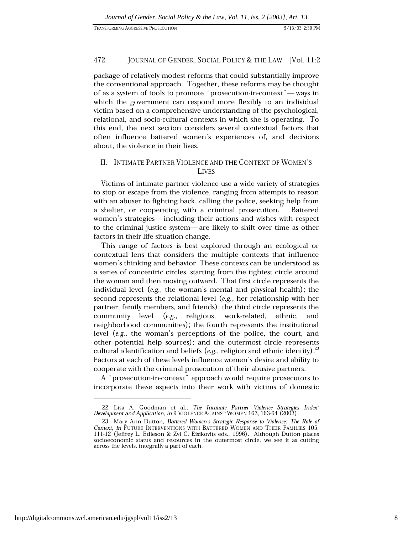package of relatively modest reforms that could substantially improve the conventional approach. Together, these reforms may be thought of as a system of tools to promote "prosecution-in-context" — ways in which the government can respond more flexibly to an individual victim based on a comprehensive understanding of the psychological, relational, and socio-cultural contexts in which she is operating. To this end, the next section considers several contextual factors that often influence battered women's experiences of, and decisions about, the violence in their lives.

# II. INTIMATE PARTNER VIOLENCE AND THE CONTEXT OF WOMEN'S LIVES

Victims of intimate partner violence use a wide variety of strategies to stop or escape from the violence, ranging from attempts to reason with an abuser to fighting back, calling the police, seeking help from a shelter, or cooperating with a criminal prosecution.<sup>22</sup> Battered women's strategies—including their actions and wishes with respect to the criminal justice system— are likely to shift over time as other factors in their life situation change.

This range of factors is best explored through an ecological or contextual lens that considers the multiple contexts that influence women's thinking and behavior. These contexts can be understood as a series of concentric circles, starting from the tightest circle around the woman and then moving outward. That first circle represents the individual level (e.g., the woman's mental and physical health); the second represents the relational level (e.g., her relationship with her partner, family members, and friends); the third circle represents the (e.g., religious, work-related, ethnic, community level and neighborhood communities); the fourth represents the institutional level (e.g., the woman's perceptions of the police, the court, and other potential help sources); and the outermost circle represents cultural identification and beliefs (e.g., religion and ethnic identity).<sup>23</sup> Factors at each of these levels influence women's desire and ability to cooperate with the criminal prosecution of their abusive partners.

A "prosecution-in-context" approach would require prosecutors to incorporate these aspects into their work with victims of domestic

<sup>22.</sup> Lisa A. Goodman et al., The Intimate Partner Violence Strategies Index: Development and Application, in 9 VIOLENCE AGAINST WOMEN 163, 163-64 (2003).

<sup>23.</sup> Mary Ann Dutton, Battered Women's Strategic Response to Violence: The Role of Context, in FUTURE INTERVENTIONS WITH BATTERED WOMEN AND THEIR FAMILIES 105, 111-12 (Jeffrey L. Edleson & Zvi C. Eisikovits eds., 1996). Although Dutton places socioeconomic status and resources in the outermost circle, we see it as cutting across the levels, integrally a part of each.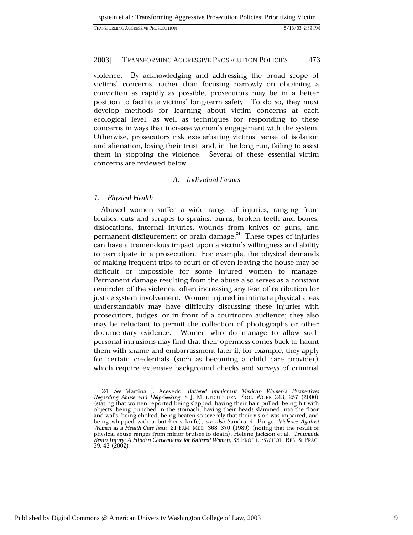| <b>TRANSFORMING AGGRESSIVE PROSECUTION</b> | /13/03 2:39 PM |
|--------------------------------------------|----------------|

violence. By acknowledging and addressing the broad scope of victims' concerns, rather than focusing narrowly on obtaining a conviction as rapidly as possible, prosecutors may be in a better position to facilitate victims' long-term safety. To do so, they must develop methods for learning about victim concerns at each ecological level, as well as techniques for responding to these concerns in ways that increase women's engagement with the system. Otherwise, prosecutors risk exacerbating victims' sense of isolation and alienation, losing their trust, and, in the long run, failing to assist them in stopping the violence. Several of these essential victim concerns are reviewed below.

# A. Individual Factors

### **Physical Health** 1.

Abused women suffer a wide range of injuries, ranging from bruises, cuts and scrapes to sprains, burns, broken teeth and bones, dislocations, internal injuries, wounds from knives or guns, and permanent disfigurement or brain damage. $^{24}$  These types of injuries can have a tremendous impact upon a victim's willingness and ability to participate in a prosecution. For example, the physical demands of making frequent trips to court or of even leaving the house may be difficult or impossible for some injured women to manage. Permanent damage resulting from the abuse also serves as a constant reminder of the violence, often increasing any fear of retribution for justice system involvement. Women injured in intimate physical areas understandably may have difficulty discussing these injuries with prosecutors, judges, or in front of a courtroom audience; they also may be reluctant to permit the collection of photographs or other documentary evidence. Women who do manage to allow such personal intrusions may find that their openness comes back to haunt them with shame and embarrassment later if, for example, they apply for certain credentials (such as becoming a child care provider) which require extensive background checks and surveys of criminal

<sup>24.</sup> See Martina J. Acevedo, Battered Immigrant Mexican Women's Perspectives Regarding Abuse and Help-Seeking, 8 J. MULTICULTURAL SOC. WORK 243, 257 (2000) (stating that women reported being slapped, having their hair pulled, being hit with objects, being punched in the stomach, having their heads slammed into the floor and walls, being choked, being beaten so severely that their vision was impaired, and being whipped with a butcher's knife); see also Sandra K. Burge, Violence Against Women as a Health Care Issue, 21 FAM. MED. 368, 370 (1989) (noting that the result of physical abuse ranges from minor bruises to death); Helene Jackson et al., Traumatic Brain Injury: A Hidden Consequence for Battered Women, 33 PROF'L PSYCHOL. RES. & PRAC. 39, 43 (2002).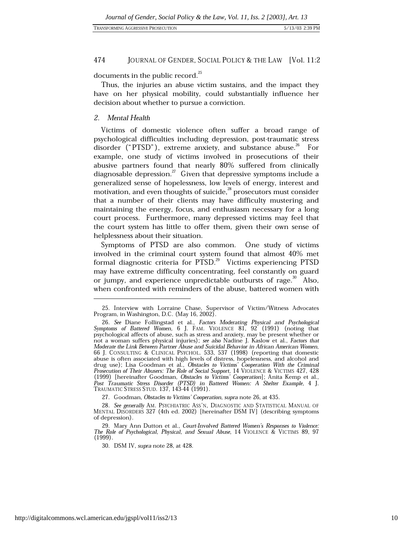documents in the public record.<sup>25</sup>

Thus, the injuries an abuse victim sustains, and the impact they have on her physical mobility, could substantially influence her decision about whether to pursue a conviction.

### 2. Mental Health

Victims of domestic violence often suffer a broad range of psychological difficulties including depression, post-traumatic stress disorder ("PTSD"), extreme anxiety, and substance abuse.<sup>26</sup> For example, one study of victims involved in prosecutions of their abusive partners found that nearly 80% suffered from clinically diagnosable depression.<sup>27</sup> Given that depressive symptoms include a generalized sense of hopelessness, low levels of energy, interest and motivation, and even thoughts of suicide, $^{28}$  prosecutors must consider that a number of their clients may have difficulty mustering and maintaining the energy, focus, and enthusiasm necessary for a long court process. Furthermore, many depressed victims may feel that the court system has little to offer them, given their own sense of helplessness about their situation.

Symptoms of PTSD are also common. One study of victims involved in the criminal court system found that almost 40% met formal diagnostic criteria for PTSD.<sup>29</sup> Victims experiencing PTSD may have extreme difficulty concentrating, feel constantly on guard or jumpy, and experience unpredictable outbursts of rage.<sup>30</sup> Also, when confronted with reminders of the abuse, battered women with

27. Goodman, Obstacles to Victims' Cooperation, supra note 26, at 435.

<sup>25.</sup> Interview with Lorraine Chase, Supervisor of Victim/Witness Advocates Program, in Washington, D.C. (May 16, 2002).

<sup>26.</sup> See Diane Follingstad et al., Factors Moderating Physical and Psychological Symptoms of Battered Women, 6 J. FAM. VIOLENCE 81, 92 (1991) (noting that psychological affects of abuse, such as stress and anxiety, may be present whether or not a woman suffers physical injuries); see also Nadine J. Kaslow et al., Factors that Moderate the Link Between Partner Abuse and Suicidal Behavior in African American Women, 66 J. CONSULTING & CLINICAL PSYCHOL. 533, 537 (1998) (reporting that domestic abuse is often associated with high levels of distress, hopelessness, and alcohol and drug use); Lisa Goodman et al., Obstacles to Victims' Cooperation With the Criminal Prosecution of Their Abusers: The Role of Social Support, 14 VIOLENCE & VICTIMS 427, 428<br>(1999) [hereinafter Goodman, Obstacles to Victims' Cooperation]; Anita Kemp et al., Post Traumatic Stress Disorder (PTSD) in Battered Women: A Shelter Example, 4 J. TRAUMATIC STRESS STUD. 137, 143-44 (1991).

<sup>28.</sup> See generally AM. PSYCHIATRIC ASS'N, DIAGNOSTIC AND STATISTICAL MANUAL OF MENTAL DISORDERS 327 (4th ed. 2002) [hereinafter DSM IV] (describing symptoms of depression).

<sup>29.</sup> Mary Ann Dutton et al., Court-Involved Battered Women's Responses to Violence: The Role of Psychological, Physical, and Sexual Abuse, 14 VIOLENCE & VICTIMS 89, 97  $(1999)$ 

<sup>30.</sup> DSM IV, supra note 28, at 428.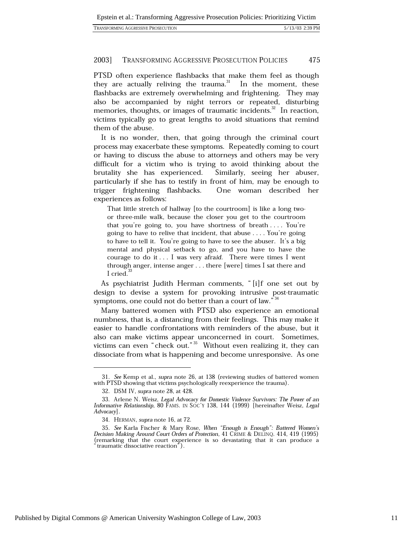PTSD often experience flashbacks that make them feel as though they are actually reliving the trauma.<sup>31</sup> In the moment, these flashbacks are extremely overwhelming and frightening. They may also be accompanied by night terrors or repeated, disturbing memories, thoughts, or images of traumatic incidents.<sup>32</sup> In reaction, victims typically go to great lengths to avoid situations that remind them of the abuse.

It is no wonder, then, that going through the criminal court process may exacerbate these symptoms. Repeatedly coming to court or having to discuss the abuse to attorneys and others may be very difficult for a victim who is trying to avoid thinking about the brutality she has experienced. Similarly, seeing her abuser, particularly if she has to testify in front of him, may be enough to One woman described her trigger frightening flashbacks. experiences as follows:

That little stretch of hallway [to the courtroom] is like a long twoor three-mile walk, because the closer you get to the courtroom that you're going to, you have shortness of breath.... You're going to have to relive that incident, that abuse .... You're going to have to tell it. You're going to have to see the abuser. It's a big mental and physical setback to go, and you have to have the courage to do it . . . I was very afraid. There were times I went through anger, intense anger . . . there [were] times I sat there and I cried  $33$ 

As psychiatrist Judith Herman comments, "[i]f one set out by design to devise a system for provoking intrusive post-traumatic symptoms, one could not do better than a court of law."<sup>34</sup>

Many battered women with PTSD also experience an emotional numbness, that is, a distancing from their feelings. This may make it easier to handle confrontations with reminders of the abuse, but it also can make victims appear unconcerned in court. Sometimes, victims can even "check out."<sup>35</sup> Without even realizing it, they can dissociate from what is happening and become unresponsive. As one

<sup>31.</sup> See Kemp et al., supra note 26, at 138 (reviewing studies of battered women with PTSD showing that victims psychologically reexperience the trauma).

<sup>32.</sup> DSM IV, supra note 28, at 428.

<sup>33.</sup> Arlene N. Weisz, Legal Advocacy for Domestic Violence Survivors: The Power of an Informative Relationship, 80 FAMS. IN SOC'Y 138, 144 (1999) [hereinafter Weisz, Legal Advocacy].

<sup>34.</sup> HERMAN, supra note 16, at 72.

<sup>35.</sup> See Karla Fischer & Mary Rose, When "Enough is Enough": Battered Women's Decision Making Around Court Orders of Protection, 41 CRIME & DELINQ. 414, 419 (1995) (remarking that the court experience is so devastating that it can produce a traumatic dissociative reaction").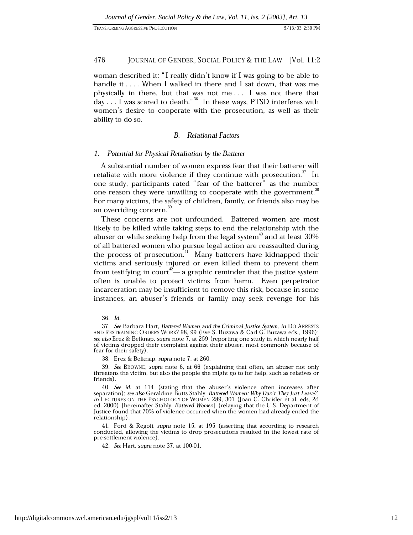woman described it: "I really didn't know if I was going to be able to handle it  $\dots$ . When I walked in there and I sat down, that was me physically in there, but that was not me... I was not there that day . . . I was scared to death."  $36$  In these ways, PTSD interferes with women's desire to cooperate with the prosecution, as well as their ability to do so.

# **B.** Relational Factors

# 1. Potential for Physical Retaliation by the Batterer

A substantial number of women express fear that their batterer will retaliate with more violence if they continue with prosecution. $37$  In one study, participants rated "fear of the batterer" as the number one reason they were unwilling to cooperate with the government.<sup>38</sup> For many victims, the safety of children, family, or friends also may be an overriding concern.<sup>39</sup>

These concerns are not unfounded. Battered women are most likely to be killed while taking steps to end the relationship with the abuser or while seeking help from the legal system<sup>40</sup> and at least  $30\%$ of all battered women who pursue legal action are reassaulted during the process of prosecution.<sup>41</sup> Many batterers have kidnapped their victims and seriously injured or even killed them to prevent them from testifying in court<sup>42</sup>— a graphic reminder that the justice system often is unable to protect victims from harm. Even perpetrator incarceration may be insufficient to remove this risk, because in some instances, an abuser's friends or family may seek revenge for his

<sup>36.</sup> Id.

<sup>37.</sup> See Barbara Hart, Battered Women and the Criminal Justice System, in DO ARRESTS AND RESTRAINING ORDERS WORK? 98, 99 (Eve S. Buzawa & Carl G. Buzawa eds., 1996); see also Erez & Belknap, supra note 7, at 259 (reporting one study in which nearly half of victims dropped their complaint against their abuser, most commonly because of fear for their safety).

<sup>38.</sup> Erez & Belknap, supra note 7, at 260.

<sup>39.</sup> See BROWNE, supra note 6, at 66 (explaining that often, an abuser not only threatens the victim, but also the people she might go to for help, such as relatives or friends).

<sup>40.</sup> See id. at 114 (stating that the abuser's violence often increases after separation); see also Geraldine Butts Stahly, Battered Women: Why Don't They Just Leave?, in LECTURES ON THE PSYCHOLOGY OF WOMEN 289, 301 (Joan C. Chrisler et al. eds, 2d ed. 2000) [hereinafter Stahly, Battered Women] (relaying that the U.S. Department of Justice found that 70% of violence occurred when the women had already ended the relationship).

<sup>41.</sup> Ford & Regoli, supra note 15, at 195 (asserting that according to research conducted, allowing the victims to drop prosecutions resulted in the lowest rate of pre-settlement violence).

<sup>42.</sup> See Hart, supra note 37, at 100-01.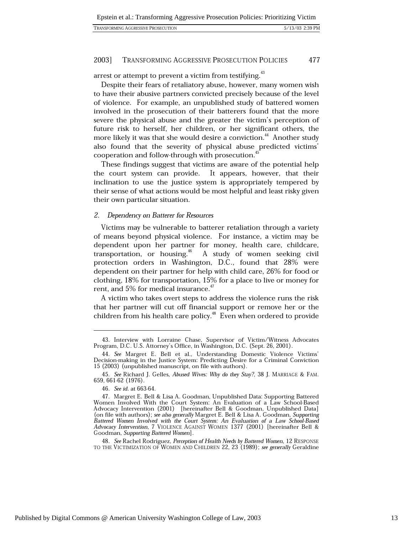| <b>TRANSFORMING AGGRESSIVE PROSECUTION</b> | 5/13/03 2:39 PM |
|--------------------------------------------|-----------------|

arrest or attempt to prevent a victim from testifying.<sup>43</sup>

Despite their fears of retaliatory abuse, however, many women wish to have their abusive partners convicted precisely because of the level of violence. For example, an unpublished study of battered women involved in the prosecution of their batterers found that the more severe the physical abuse and the greater the victim's perception of future risk to herself, her children, or her significant others, the more likely it was that she would desire a conviction.<sup>44</sup> Another study also found that the severity of physical abuse predicted victims' cooperation and follow-through with prosecution.<sup>4</sup>

These findings suggest that victims are aware of the potential help the court system can provide. It appears, however, that their inclination to use the justice system is appropriately tempered by their sense of what actions would be most helpful and least risky given their own particular situation.

### 2. Dependency on Batterer for Resources

Victims may be vulnerable to batterer retaliation through a variety of means beyond physical violence. For instance, a victim may be dependent upon her partner for money, health care, childcare, transportation, or housing. $^{46}$ A study of women seeking civil protection orders in Washington, D.C., found that 28% were dependent on their partner for help with child care, 26% for food or clothing, 18% for transportation, 15% for a place to live or money for rent, and 5% for medical insurance.<sup>47</sup>

A victim who takes overt steps to address the violence runs the risk that her partner will cut off financial support or remove her or the children from his health care policy.<sup>48</sup> Even when ordered to provide

<sup>43.</sup> Interview with Lorraine Chase, Supervisor of Victim/Witness Advocates Program, D.C. U.S. Attorney's Office, in Washington, D.C. (Sept. 26, 2001).

<sup>44.</sup> See Margret E. Bell et al., Understanding Domestic Violence Victims' Decision-making in the Justice System: Predicting Desire for a Criminal Conviction 15 (2003) (unpublished manuscript, on file with authors).

<sup>45.</sup> See Richard J. Gelles, Abused Wives: Why do they Stay?, 38 J. MARRIAGE & FAM. 659, 661-62 (1976).

<sup>46.</sup> See id. at 663-64.

<sup>47.</sup> Margret E. Bell & Lisa A. Goodman, Unpublished Data: Supporting Battered Women Involved With the Court System: An Evaluation of a Law School-Based Advocacy Intervention (2001) [hereinafter Bell & Goodman, Unpublished Data] (on file with authors); see also generally Margret E. Bell & Lisa A. Goodman, Supporting Battered Women Involved with the Court System: An Evaluation of a Law School-Based<br>Advocacy Intervention, 7 VIOLENCE AGAINST WOMEN 1377 (2001) [hereinafter Bell & Goodman, Supporting Battered Women].

<sup>48.</sup> See Rachel Rodriguez, Perception of Health Needs by Battered Women, 12 RESPONSE TO THE VICTIMIZATION OF WOMEN AND CHILDREN 22, 23 (1989); see generally Geraldine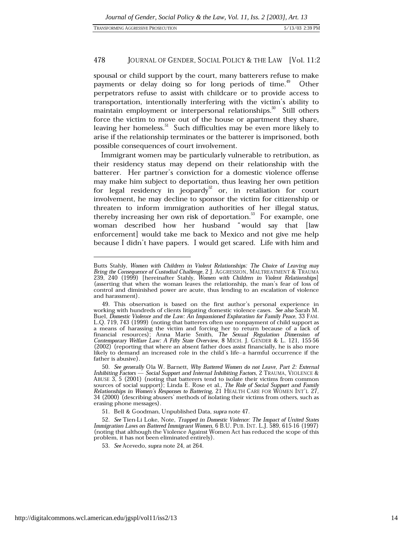spousal or child support by the court, many batterers refuse to make payments or delay doing so for long periods of time.<sup>49</sup> Other perpetrators refuse to assist with childcare or to provide access to transportation, intentionally interfering with the victim's ability to maintain employment or interpersonal relationships.<sup>50</sup> Still others force the victim to move out of the house or apartment they share. leaving her homeless.<sup>51</sup> Such difficulties may be even more likely to arise if the relationship terminates or the batterer is imprisoned, both possible consequences of court involvement.

Immigrant women may be particularly vulnerable to retribution, as their residency status may depend on their relationship with the batterer. Her partner's conviction for a domestic violence offense may make him subject to deportation, thus leaving her own petition for legal residency in jeopardy<sup>52</sup> or, in retaliation for court involvement, he may decline to sponsor the victim for citizenship or threaten to inform immigration authorities of her illegal status, thereby increasing her own risk of deportation.<sup>53</sup> For example, one woman described how her husband "would say that [law enforcement] would take me back to Mexico and not give me help because I didn't have papers. I would get scared. Life with him and

Butts Stahly, Women with Children in Violent Relationships: The Choice of Leaving may Bring the Consequence of Custodial Challenge, 2 J. AGGRESSION, MALTREATMENT & TRAUMA 239, 240 (1999) [hereinafter Stahly, Women with Children in Violent Relationships] (asserting that when the woman leaves the relationship, the man's fear of loss of control and diminished power are acute, thus lending to an escalation of violence and harassment).

<sup>49.</sup> This observation is based on the first author's personal experience in working with hundreds of clients litigating domestic violence cases. See also Sarah M. Buel, Domestic Violence and the Law: An Impassioned Exploration for Family Peace, 33 FAM. L.Q. 719, 743 (1999) (noting that batterers often use nonpayment of child support as a means of harassing the victim and forcing her to return because of a lack of financial resources); Anna Marie Smith, The Sexual Regulation Dimension of Contemporary Welfare Law: A Fifty State Overview, 8 MICH. J. GENDER & L. 121, 155-56  $(2002)$  (reporting that where an absent father does assist financially, he is also more likely to demand an increased role in the child's life-a harmful occurrence if the father is abusive).

<sup>50.</sup> See generally Ola W. Barnett, Why Battered Women do not Leave, Part 2: External Inhibiting Factors – Social Support and Internal Inhibiting Factors, 2 TRAUMA, VIOLENCE & ABUSE 3, 5 (2001) (noting that batterers tend to isolate their victims from common sources of social support); Linda E. Rose et al., *The Role of Social Support and Family Relationships in Women's Responses to Battering*, 21 HEALTH CARE FOR WOMEN INT'L 27, 34 (2000) (describing abusers' methods of isolating their victims from others, such as erasing phone messages).

<sup>51.</sup> Bell & Goodman, Unpublished Data, supra note 47.

<sup>52.</sup> See Tien-Li Loke, Note, Trapped in Domestic Violence: The Impact of United States Immigration Laws on Battered Immigrant Women, 6 B.U. PUB. INT. L.J. 589, 615-16 (1997) (noting that although the Violence Against Women Act has reduced the scope of this problem, it has not been eliminated entirely).

<sup>53.</sup> See Acevedo, supra note 24, at 264.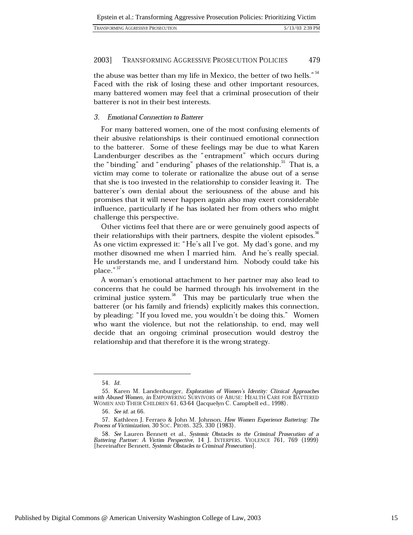the abuse was better than my life in Mexico, the better of two hells."<sup>54</sup> Faced with the risk of losing these and other important resources, many battered women may feel that a criminal prosecution of their batterer is not in their best interests.

#### **Emotional Connection to Batterer**  $\mathcal{S}$

For many battered women, one of the most confusing elements of their abusive relationships is their continued emotional connection to the batterer. Some of these feelings may be due to what Karen Landenburger describes as the "entrapment" which occurs during the "binding" and "enduring" phases of the relationship.<sup>55</sup> That is, a victim may come to tolerate or rationalize the abuse out of a sense that she is too invested in the relationship to consider leaving it. The batterer's own denial about the seriousness of the abuse and his promises that it will never happen again also may exert considerable influence, particularly if he has isolated her from others who might challenge this perspective.

Other victims feel that there are or were genuinely good aspects of their relationships with their partners, despite the violent episodes.<sup>3</sup> As one victim expressed it: "He's all I've got. My dad's gone, and my mother disowned me when I married him. And he's really special. He understands me, and I understand him. Nobody could take his place." $57$ 

A woman's emotional attachment to her partner may also lead to concerns that he could be harmed through his involvement in the criminal justice system.<sup>58</sup> This may be particularly true when the batterer (or his family and friends) explicitly makes this connection, by pleading: "If you loved me, you wouldn't be doing this." Women who want the violence, but not the relationship, to end, may well decide that an ongoing criminal prosecution would destroy the relationship and that therefore it is the wrong strategy.

<sup>54.</sup> Id.

<sup>55.</sup> Karen M. Landenburger, Exploration of Women's Identity: Clinical Approaches with Abused Women, in EMPOWERING SURVIVORS OF ABUSE: HEALTH CARE FOR BATTERED WOMEN AND THEIR CHILDREN 61, 63-64 (Jacquelyn C. Campbell ed., 1998).

<sup>56.</sup> See id. at 66.

<sup>57.</sup> Kathleen J. Ferraro & John M. Johnson, How Women Experience Battering: The Process of Victimization, 30 SOC. PROBS. 325, 330 (1983).

<sup>58.</sup> See Lauren Bennett et al., Systemic Obstacles to the Criminal Prosecution of a Battering Partner: A Victim Perspective, 14 J. INTERPERS. VIOLENCE 761, 769 (1999) [hereinafter Bennett, Systemic Obstacles to Criminal Prosecution].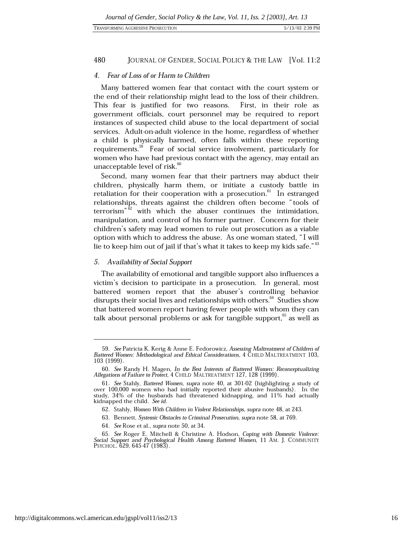# 4. Fear of Loss of or Harm to Children

Many battered women fear that contact with the court system or the end of their relationship might lead to the loss of their children. This fear is justified for two reasons. First, in their role as government officials, court personnel may be required to report instances of suspected child abuse to the local department of social services. Adult-on-adult violence in the home, regardless of whether a child is physically harmed, often falls within these reporting requirements.<sup>59</sup> Fear of social service involvement, particularly for women who have had previous contact with the agency, may entail an unacceptable level of risk.<sup>60</sup>

Second, many women fear that their partners may abduct their children, physically harm them, or initiate a custody battle in retaliation for their cooperation with a prosecution.  $\delta$ <sup>1</sup> In estranged relationships, threats against the children often become "tools of terrorism" $\frac{62}{10}$  with which the abuser continues the intimidation, manipulation, and control of his former partner. Concern for their children's safety may lead women to rule out prosecution as a viable option with which to address the abuse. As one woman stated, "I will lie to keep him out of jail if that's what it takes to keep my kids safe."<sup>63</sup>

# 5. Availability of Social Support

The availability of emotional and tangible support also influences a victim's decision to participate in a prosecution. In general, most battered women report that the abuser's controlling behavior disrupts their social lives and relationships with others.<sup>64</sup> Studies show that battered women report having fewer people with whom they can talk about personal problems or ask for tangible support,  $65$  as well as

<sup>59.</sup> See Patricia K. Kerig & Anne E. Fedorowicz, Assessing Maltreatment of Children of Battered Women: Methodological and Ethical Considerations, 4 CHILD MALTREATMENT 103, 103 (1999).

<sup>60.</sup> See Randy H. Magen, In the Best Interests of Battered Women: Reconceptualizing Allegations of Failure to Protect, 4 CHILD MALTREATMENT 127, 128 (1999).

<sup>61.</sup> See Stahly, Battered Women, supra note 40, at 301-02 (highlighting a study of over 100,000 women who had initially reported their abusive husbands). In the study, 34% of the husbands had threatened kidnapping, and 11% had actually kidnapped the child. See id.

<sup>62.</sup> Stahly, Women With Children in Violent Relationships, supra note 48, at 243.

<sup>63.</sup> Bennett, Systemic Obstacles to Criminal Prosecution, supra note 58, at 769.

<sup>64.</sup> See Rose et al., supra note 50, at 34.

<sup>65.</sup> See Roger E. Mitchell & Christine A. Hodson, Coping with Domestic Violence: Social Support and Psychological Health Among Battered Women, 11 AM. J. COMMUNITY PSYCHOL. 629, 645-47 (1983).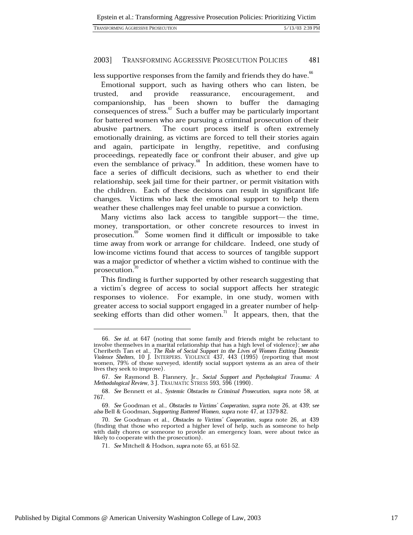| TRANSFORMING AGGRESSIVE PROSECUTION | 5/13/03 2:39 PM |
|-------------------------------------|-----------------|

less supportive responses from the family and friends they do have.<sup>66</sup>

Emotional support, such as having others who can listen, be provide reassurance, encouragement, trusted. and and has been shown to buffer the damaging companionship, consequences of stress.  $67$  Such a buffer may be particularly important for battered women who are pursuing a criminal prosecution of their abusive partners. The court process itself is often extremely emotionally draining, as victims are forced to tell their stories again and again, participate in lengthy, repetitive, and confusing proceedings, repeatedly face or confront their abuser, and give up even the semblance of privacy. $68$  In addition, these women have to face a series of difficult decisions, such as whether to end their relationship, seek jail time for their partner, or permit visitation with the children. Each of these decisions can result in significant life changes. Victims who lack the emotional support to help them weather these challenges may feel unable to pursue a conviction.

Many victims also lack access to tangible support— the time, money, transportation, or other concrete resources to invest in prosecution.<sup>69</sup> Some women find it difficult or impossible to take time away from work or arrange for childcare. Indeed, one study of low-income victims found that access to sources of tangible support was a major predictor of whether a victim wished to continue with the prosecution."

This finding is further supported by other research suggesting that a victim's degree of access to social support affects her strategic responses to violence. For example, in one study, women with greater access to social support engaged in a greater number of helpseeking efforts than did other women.<sup>71</sup> It appears, then, that the

<sup>66.</sup> See id. at 647 (noting that some family and friends might be reluctant to involve themselves in a marital relationship that has a high level of violence); see also Cheribeth Tan et al., The Role of Social Support in the Lives of Women Exiting Domestic Violence Shelters, 10 J. INTERPERS. VIOLENCE 437, 443 (1995) (reporting that most women, 79% of those surveyed, identify social support systems as an area of their lives they seek to improve).

<sup>67.</sup> See Raymond B. Flannery, Jr., Social Support and Psychological Trauma: A Methodological Review, 3 J. TRAUMATIC STRESS 593, 596 (1990).

<sup>68.</sup> See Bennett et al., Systemic Obstacles to Criminal Prosecution, supra note 58, at 767.

<sup>69.</sup> See Goodman et al., Obstacles to Victims' Cooperation, supra note 26, at 439; see also Bell & Goodman, Supporting Battered Women, supra note 47, at 1379-82.

<sup>70.</sup> See Goodman et al., Obstacles to Victims' Cooperation, supra note 26, at 439 (finding that those who reported a higher level of help, such as someone to help with daily chores or someone to provide an emergency loan, were about twice as likely to cooperate with the prosecution).

<sup>71.</sup> See Mitchell & Hodson, supra note 65, at 651-52.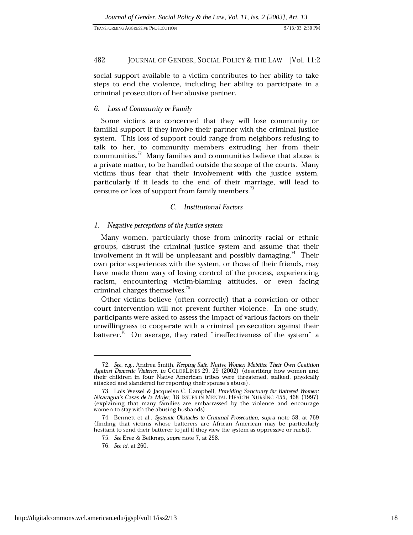5/13/03 2:39 PM

### 482 JOURNAL OF GENDER, SOCIAL POLICY & THE LAW [Vol. 11:2

social support available to a victim contributes to her ability to take steps to end the violence, including her ability to participate in a criminal prosecution of her abusive partner.

# 6. Loss of Community or Family

Some victims are concerned that they will lose community or familial support if they involve their partner with the criminal justice system. This loss of support could range from neighbors refusing to talk to her, to community members extruding her from their communities.<sup>72</sup> Many families and communities believe that abuse is a private matter, to be handled outside the scope of the courts. Many victims thus fear that their involvement with the justice system, particularly if it leads to the end of their marriage, will lead to censure or loss of support from family members.<sup>13</sup>

# C. Institutional Factors

### Negative perceptions of the justice system 1.

Many women, particularly those from minority racial or ethnic groups, distrust the criminal justice system and assume that their involvement in it will be unpleasant and possibly damaging.<sup>74</sup> Their own prior experiences with the system, or those of their friends, may have made them wary of losing control of the process, experiencing racism, encountering victim-blaming attitudes, or even facing criminal charges themselves.<sup>75</sup>

Other victims believe (often correctly) that a conviction or other court intervention will not prevent further violence. In one study, participants were asked to assess the impact of various factors on their unwillingness to cooperate with a criminal prosecution against their batterer.<sup>76</sup> On average, they rated "ineffectiveness of the system" a

- 75. See Erez & Belknap, supra note 7, at 258.
- 76. See id. at 260.

<sup>72.</sup> See, e.g., Andrea Smith, Keeping Safe: Native Women Mobilize Their Own Coalition Against Domestic Violence, in COLORLINES 29, 29 (2002) (describing how women and their children in four Native American tribes were threatened, stalked, physically attacked and slandered for reporting their spouse's abuse).

<sup>73.</sup> Lois Wessel & Jacquelyn C. Campbell, Providing Sanctuary for Battered Women: Nicaragua's Casas de la Mujer, 18 ISSUES IN MENTAL HEALTH NURSING 455, 468 (1997) (explaining that many families are embarrassed by the violence and encourage women to stay with the abusing husbands).

<sup>74.</sup> Bennett et al., Systemic Obstacles to Criminal Prosecution, supra note 58, at 769 (finding that victims whose batterers are African American may be particularly hesitant to send their batterer to jail if they view the system as oppressive or racist).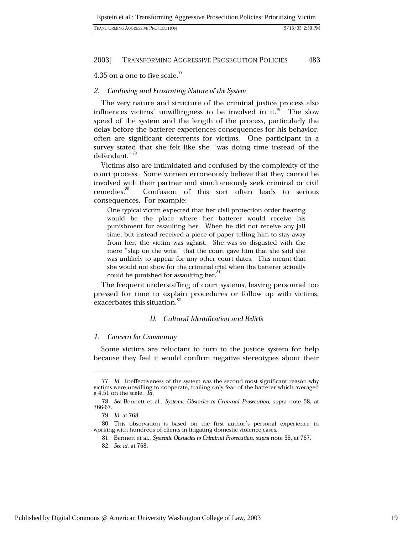# 4.35 on a one to five scale. $^{77}$

#### 2. Confusing and Frustrating Nature of the System

The very nature and structure of the criminal justice process also influences victims' unwillingness to be involved in it.<sup>78</sup> The slow speed of the system and the length of the process, particularly the delay before the batterer experiences consequences for his behavior, often are significant deterrents for victims. One participant in a survey stated that she felt like she "was doing time instead of the defendant "<sup>79</sup>

Victims also are intimidated and confused by the complexity of the court process. Some women erroneously believe that they cannot be involved with their partner and simultaneously seek criminal or civil remedies.<sup>80</sup> Confusion of this sort often leads to serious consequences. For example:

One typical victim expected that her civil protection order hearing would be the place where her batterer would receive his punishment for assaulting her. When he did not receive any jail time, but instead received a piece of paper telling him to stay away from her, the victim was aghast. She was so disgusted with the mere "slap on the wrist" that the court gave him that she said she was unlikely to appear for any other court dates. This meant that she would not show for the criminal trial when the batterer actually could be punished for assaulting her.<sup>81</sup>

The frequent understaffing of court systems, leaving personnel too pressed for time to explain procedures or follow up with victims, exacerbates this situation.<sup>82</sup>

### D. Cultural Identification and Beliefs

#### $1.$ **Concern for Community**

Some victims are reluctant to turn to the justice system for help because they feel it would confirm negative stereotypes about their

<sup>77.</sup> Id. Ineffectiveness of the system was the second most significant reason why victims were unwilling to cooperate, trailing only fear of the batterer which averaged a 4.51 on the scale. Id.

<sup>78.</sup> See Bennett et al., Systemic Obstacles to Criminal Prosecution, supra note 58, at 766-67.

<sup>79.</sup> Id. at 768.

<sup>80.</sup> This observation is based on the first author's personal experience in working with hundreds of clients in litigating domestic violence cases.

<sup>81.</sup> Bennett et al., Systemic Obstacles to Criminal Prosecution, supra note 58, at 767.

<sup>82.</sup> See id. at 768.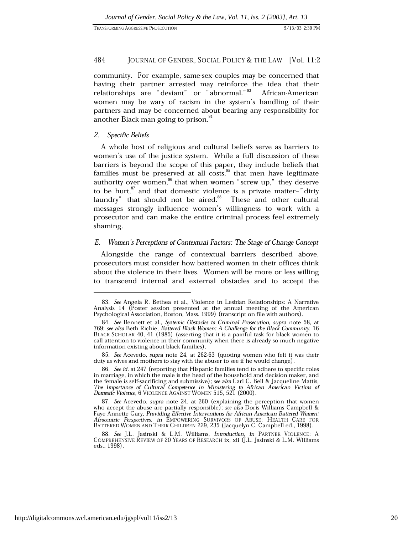community. For example, same-sex couples may be concerned that having their partner arrested may reinforce the idea that their relationships are "deviant" or "abnormal."<sup>83</sup> African-American women may be wary of racism in the system's handling of their partners and may be concerned about bearing any responsibility for another Black man going to prison.<sup>84</sup>

# 2. Specific Beliefs

A whole host of religious and cultural beliefs serve as barriers to women's use of the justice system. While a full discussion of these barriers is beyond the scope of this paper, they include beliefs that families must be preserved at all costs,<sup>85</sup> that men have legitimate authority over women,  $^{86}$  that when women "screw up," they deserve to be hurt,<sup>87</sup> and that domestic violence is a private matter-"dirty laundry" that should not be aired.<sup>88</sup> These and other cultural messages strongly influence women's willingness to work with a prosecutor and can make the entire criminal process feel extremely shaming.

### Women's Perceptions of Contextual Factors: The Stage of Change Concept E.

Alongside the range of contextual barriers described above, prosecutors must consider how battered women in their offices think about the violence in their lives. Women will be more or less willing to transcend internal and external obstacles and to accept the

85. See Acevedo, supra note 24, at 262-63 (quoting women who felt it was their duty as wives and mothers to stay with the abuser to see if he would change).

<sup>83.</sup> See Angela R. Bethea et al., Violence in Lesbian Relationships: A Narrative Analysis 14 (Poster session presented at the annual meeting of the American Psychological Association, Boston, Mass. 1999) (transcript on file with authors).

<sup>84.</sup> See Bennett et al., Systemic Obstacles to Criminal Prosecution, supra note 58, at 769; see also Beth Richie, Battered Black Women: A Challenge for the Black Community, 16 BLACK SCHOLAR 40, 41 (1985) (asserting that it is a painful task for black women to call attention to violence in their community when there is already so much negative information existing about black families).

<sup>86.</sup> See id. at 247 (reporting that Hispanic families tend to adhere to specific roles in marriage, in which the male is the head of the household and decision maker, and the female is self-sacrificing and submissive); see also Carl C. Bell & Jacqueline Mattis, The Importance of Cultural Competence in Ministering to African American Victims of Domestic Violence, 6 VIOLENCE AGAINST WOMEN 515, 521 (2000).

<sup>87.</sup> See Acevedo, supra note 24, at 260 (explaining the perception that women who accept the abuse are partially responsible); see also Doris Williams Campbell & Faye Annette Gary, Providing Effective Interventions for African American Battered Women:<br>Afrocentric Perspectives, in EMPOWERING SURVIVORS OF ABUSE: HEALTH CARE FOR BATTERED WOMEN AND THEIR CHILDREN 229, 235 (Jacquelyn C. Campbell ed., 1998).

<sup>88.</sup> See J.L. Jasinski & L.M. Williams, Introduction, in PARTNER VIOLENCE: A COMPREHENSIVE REVIEW OF 20 YEARS OF RESEARCH ix, xii (J.L. Jasinski & L.M. Williams eds., 1998).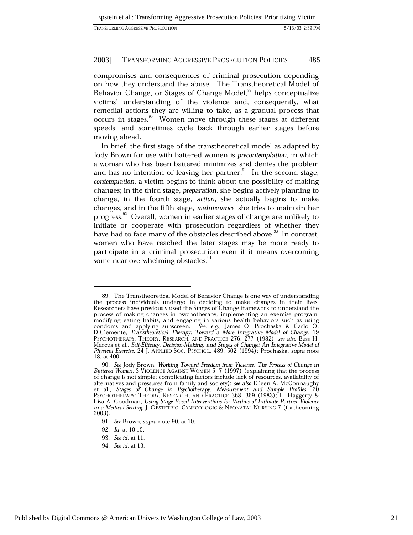| TRANSFORMING AGGRESSIVE PROSECUTION | 5/13/03 2:39 PM |
|-------------------------------------|-----------------|

compromises and consequences of criminal prosecution depending on how they understand the abuse. The Transtheoretical Model of Behavior Change, or Stages of Change Model,<sup>89</sup> helps conceptualize victims' understanding of the violence and, consequently, what remedial actions they are willing to take, as a gradual process that occurs in stages.<sup>90</sup> Women move through these stages at different speeds, and sometimes cycle back through earlier stages before moving ahead.

In brief, the first stage of the transtheoretical model as adapted by Jody Brown for use with battered women is precontemplation, in which a woman who has been battered minimizes and denies the problem and has no intention of leaving her partner. In the second stage, contemplation, a victim begins to think about the possibility of making changes; in the third stage, *preparation*, she begins actively planning to change; in the fourth stage, action, she actually begins to make changes; and in the fifth stage, maintenance, she tries to maintain her progress.<sup>32</sup> Overall, women in earlier stages of change are unlikely to initiate or cooperate with prosecution regardless of whether they have had to face many of the obstacles described above.<sup>33</sup> In contrast, women who have reached the later stages may be more ready to participate in a criminal prosecution even if it means overcoming some near-overwhelming obstacles.<sup>94</sup>

<sup>89.</sup> The Transtheoretical Model of Behavior Change is one way of understanding the process individuals undergo in deciding to make changes in their lives.<br>Researchers have previously used the Stages of Change framework to understand the process of making changes in psychotherapy, implementing an exercise program, modifying eating branches in projectionary, improvements behaviors such as using<br>modifying eating habits, and engaging in various health behaviors such as using<br>condoms and applying sunscreen. See, e.g., James O. Prochaska PSYCHOTHERAPY: THEORY, RESEARCH, AND PRACTICE 276, 277 (1982); see also Bess H. Marcus et al., Self-Efficacy, Decision-Making, and Stages of Change: An Integrative Model of Physical Exercise, 24 J. APPLIED SOC. PSYCHOL. 489, 502 (1994); Prochaska, supra note 18, at 400.

<sup>90.</sup> See Jody Brown, Working Toward Freedom from Violence: The Process of Change in Battered Women, 3 VIOLENCE AGAINST WOMEN 5, 7 (1997) (explaining that the process of change is not simple; complicating factors include lack of resources, availability of alternatives and pressures from family and society); see also Eileen A. McConnaughy et al., *Stages of Change in Psychotherapy: Measurement and Sample Profiles*, 20<br>PSYCHOTHERAPY: THEORY, RESEARCH, AND PRACTICE 368, 369 (1983); L. Haggerty &<br>Lisa A. Goodman, *Using Stage Based Interventions for Victims of* in a Medical Setting, J. OBSTETRIC, GYNECOLOGIC & NEONATAL NURSING 7 (forthcoming  $2003$ ).

<sup>91.</sup> See Brown, supra note 90, at 10.

<sup>92.</sup> Id. at 10-15.

<sup>93.</sup> See id. at 11.

<sup>94.</sup> See id. at 13.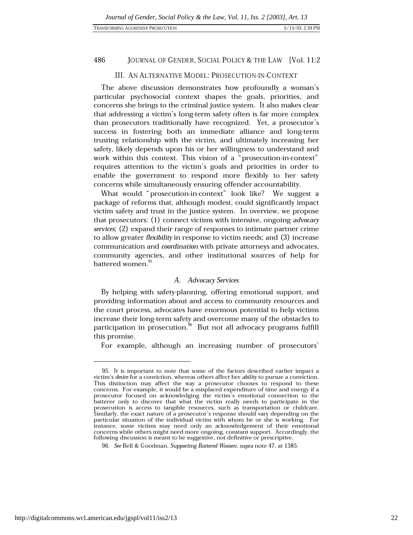# III. AN ALTERNATIVE MODEL: PROSECUTION-IN-CONTEXT

The above discussion demonstrates how profoundly a woman's particular psychosocial context shapes the goals, priorities, and concerns she brings to the criminal justice system. It also makes clear that addressing a victim's long-term safety often is far more complex than prosecutors traditionally have recognized. Yet, a prosecutor's success in fostering both an immediate alliance and long-term trusting relationship with the victim, and ultimately increasing her safety, likely depends upon his or her willingness to understand and work within this context. This vision of a "prosecution-in-context" requires attention to the victim's goals and priorities in order to enable the government to respond more flexibly to her safety concerns while simultaneously ensuring offender accountability.

What would "prosecution-in-context" look like? We suggest a package of reforms that, although modest, could significantly impact victim safety and trust in the justice system. In overview, we propose that prosecutors: (1) connect victims with intensive, ongoing advocacy services; (2) expand their range of responses to intimate partner crime to allow greater flexibility in response to victim needs; and (3) increase communication and coordination with private attorneys and advocates, community agencies, and other institutional sources of help for battered women.<sup>95</sup>

# A. Advocacy Services

By helping with safety-planning, offering emotional support, and providing information about and access to community resources and the court process, advocates have enormous potential to help victims increase their long-term safety and overcome many of the obstacles to participation in prosecution.<sup>96</sup> But not all advocacy programs fulfill this promise.

For example, although an increasing number of prosecutors'

<sup>95.</sup> It is important to note that some of the factors described earlier impact a victim's desire for a conviction, whereas others affect her ability to pursue a conviction. This distinction may affect the way a prosecutor chooses to respond to these concerns. For example, it would be a misplaced expenditure of time and energy if a prosecutor focused on acknowledging the victim's emotional connection to the batterer only to discover that what the victim really needs to participate in the prosecution is access to tangible resources, such as transportation or childcare.<br>Similarly, the exact nature of a prosecutor's response should vary depending on the particular situation of the individual victim with whom he or she is working. For instance, some victims may need only an acknowledgement of their emotional concerns while others might need more ongoing, constant support. Accordingly, the following discussion is meant to be suggestive, not definitive or prescriptive.

<sup>96.</sup> See Bell & Goodman, Supporting Battered Women, supra note 47, at 1385.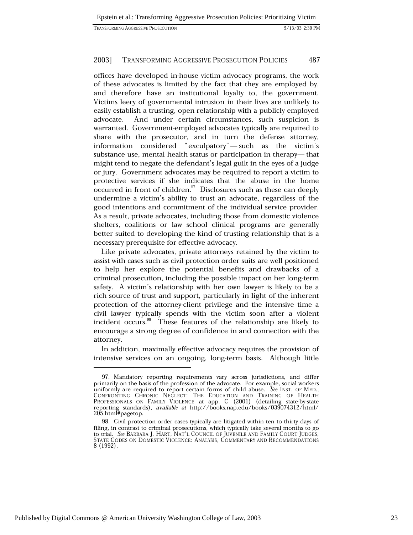| <b>TRANSFORMING AGGRESSIVE PROSECUTION</b> | 5/13/03 2:39 PM |
|--------------------------------------------|-----------------|

offices have developed in-house victim advocacy programs, the work of these advocates is limited by the fact that they are employed by, and therefore have an institutional loyalty to, the government. Victims leery of governmental intrusion in their lives are unlikely to easily establish a trusting, open relationship with a publicly employed advocate. And under certain circumstances, such suspicion is warranted. Government-employed advocates typically are required to share with the prosecutor, and in turn the defense attorney, information considered "exculpatory"-such as the victim's substance use, mental health status or participation in therapy-that might tend to negate the defendant's legal guilt in the eyes of a judge or jury. Government advocates may be required to report a victim to protective services if she indicates that the abuse in the home  $\alpha$  occurred in front of children. $\alpha$ <sup>97</sup> Disclosures such as these can deeply undermine a victim's ability to trust an advocate, regardless of the good intentions and commitment of the individual service provider. As a result, private advocates, including those from domestic violence shelters, coalitions or law school clinical programs are generally better suited to developing the kind of trusting relationship that is a necessary prerequisite for effective advocacy.

Like private advocates, private attorneys retained by the victim to assist with cases such as civil protection order suits are well positioned to help her explore the potential benefits and drawbacks of a criminal prosecution, including the possible impact on her long-term safety. A victim's relationship with her own lawyer is likely to be a rich source of trust and support, particularly in light of the inherent protection of the attorney-client privilege and the intensive time a civil lawyer typically spends with the victim soon after a violent incident occurs.<sup>98</sup> These features of the relationship are likely to encourage a strong degree of confidence in and connection with the attorney.

In addition, maximally effective advocacy requires the provision of intensive services on an ongoing, long-term basis. Although little

<sup>97.</sup> Mandatory reporting requirements vary across jurisdictions, and differ primarily on the basis of the profession of the advocate. For example, social workers uniformly are required to report certain forms of child abuse. See INST. OF MED., CONFRONTING CHRONIC NEGLECT: THE EDUCATION AND TRAINING OF HEALTH PROFESSIONALS ON FAMILY VIOLENCE at app. C (2001) (detailing state-by-state reporting standards), available at http://books.nap.edu/books/039074312/html/ 205.html#pagetop.

<sup>98.</sup> Civil protection order cases typically are litigated within ten to thirty days of filing, in contrast to criminal prosecutions, which typically take several months to go to trial. See BARBARA J. HART, NAT'L COUNCIL OF JUVENILE AND FAMILY COURT JUDGES, STATE CODES ON DOMESTIC VIOLENCE: ANALYSIS, COMMENTARY AND RECOMMENDATIONS 8 (1992).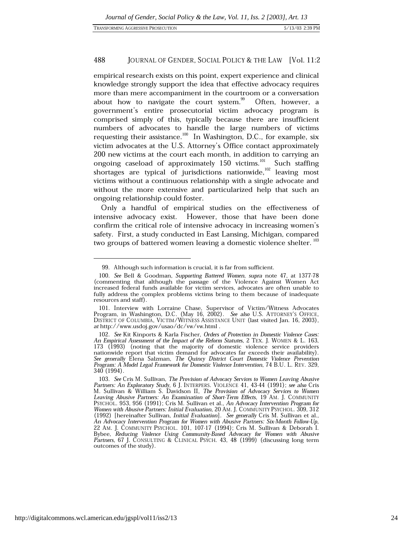5/13/03 2:39 PM

empirical research exists on this point, expert experience and clinical knowledge strongly support the idea that effective advocacy requires more than mere accompaniment in the courtroom or a conversation about how to navigate the court system.<sup>99</sup> Often, however, a government's entire prosecutorial victim advocacy program is comprised simply of this, typically because there are insufficient numbers of advocates to handle the large numbers of victims requesting their assistance.  $^{100}$  In Washington, D.C., for example, six victim advocates at the U.S. Attorney's Office contact approximately 200 new victims at the court each month, in addition to carrying an ongoing caseload of approximately 150 victims.<sup>101</sup> Such staffing shortages are typical of jurisdictions nationwide,<sup>102</sup> leaving most victims without a continuous relationship with a single advocate and without the more extensive and particularized help that such an ongoing relationship could foster.

Only a handful of empirical studies on the effectiveness of However, those that have been done intensive advocacy exist. confirm the critical role of intensive advocacy in increasing women's safety. First, a study conducted in East Lansing, Michigan, compared two groups of battered women leaving a domestic violence shelter.<sup>103</sup>

<sup>99.</sup> Although such information is crucial, it is far from sufficient.

<sup>100.</sup> See Bell & Goodman, Supporting Battered Women, supra note 47, at 1377-78 (commenting that although the passage of the Violence Against Women Act increased federal funds available for victim services, advocates are often unable to fully address the complex problems victims bring to them because of inadequate resources and staff).

<sup>101.</sup> Interview with Lorraine Chase, Supervisor of Victim/Witness Advocates Program, in Washington, D.C. (May 16, 2002). See also U.S. ATTORNEY'S OFFICE, DISTRICT OF COLUMBIA, VICTIM/WITNESS ASSISTANCE UNIT (last visited Ja at http://www.usdoj.gov/usao/dc/vw/vw.html.

<sup>102.</sup> See Kit Kinports & Karla Fischer, Orders of Protection in Domestic Violence Cases: An Empirical Assessment of the Impact of the Reform Statutes, 2 TEX. J. WOMEN & L. 163, 173 (1993) (noting that the majority of domestic violence service providers nationwide report that victim demand for advocates far exceeds their availability). See generally Elena Salzman, The Quincy District Court Domestic Violence Prevention Program: A Model Legal Framework for Domestic Violence Intervention, 74 B.U. L. REV. 329,  $340(1994)$ .

<sup>103.</sup> See Cris M. Sullivan, The Provision of Advocacy Services to Women Leaving Abusive Partners: An Exploratory Study, 6 J. INTERPERS. VIOLENCE 41, 43-44 (1991); see also Cris M. Sullivan & William S. Davidson II, The Provision of Advocacy Services to Women Leaving Abusive Partners: An Examination of Short-Term Effects, 19 AM. J. COMMUNITY<br>PSYCHOL. 953, 956 (1991); Cris M. Sullivan et al., An Advocacy Intervention Program for<br>Women with Abusive Partners: Initial Evaluation, 2 (1992) [hereinafter Sullivan, *Initial Evaluation*]. See generally Cris M. Sullivan et al., An Advocacy Intervention Program for Women with Abusive Partners: Six-Month Follow-Up, 22 AM. J. ČOMMUNITY PSYCHOL. 101, 107-17 (1994); Cris M. Sullivan & Deborah I. Bybee, Reducing Violence Using Community-Based Advocacy for Women with Abusive Partners, 67 J. CONSULTING & CLINICAL PSYCH. 43, 48 (1999) (discussing long term outcomes of the study).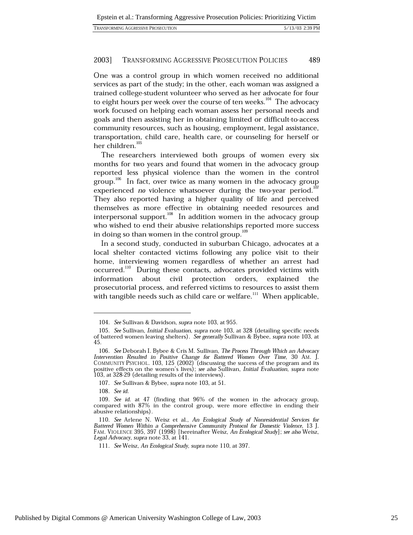| <b>TRANSFORMING AGGRESSIVE PROSECUTION</b> | 5/13/03 2:39 PM |
|--------------------------------------------|-----------------|

One was a control group in which women received no additional services as part of the study; in the other, each woman was assigned a trained college-student volunteer who served as her advocate for four to eight hours per week over the course of ten weeks.<sup>104</sup> The advocacy work focused on helping each woman assess her personal needs and goals and then assisting her in obtaining limited or difficult-to-access community resources, such as housing, employment, legal assistance, transportation, child care, health care, or counseling for herself or her children.<sup>105</sup>

The researchers interviewed both groups of women every six months for two years and found that women in the advocacy group reported less physical violence than the women in the control group.<sup>106</sup> In fact, over twice as many women in the advocacy group experienced no violence whatsoever during the two-year period.<sup>107</sup> They also reported having a higher quality of life and perceived themselves as more effective in obtaining needed resources and interpersonal support.<sup>108</sup> In addition women in the advocacy group who wished to end their abusive relationships reported more success in doing so than women in the control group.<sup>109</sup>

In a second study, conducted in suburban Chicago, advocates at a local shelter contacted victims following any police visit to their home, interviewing women regardless of whether an arrest had occurred.<sup>110</sup> During these contacts, advocates provided victims with information about civil protection orders, explained the prosecutorial process, and referred victims to resources to assist them with tangible needs such as child care or welfare.<sup>111</sup> When applicable,

<sup>104.</sup> See Sullivan & Davidson, supra note 103, at 955.

<sup>105.</sup> See Sullivan, Initial Evaluation, supra note 103, at 328 (detailing specific needs of battered women leaving shelters). See generally Sullivan & Bybee, supra note 103, at 45.

<sup>106.</sup> See Deborah I. Bybee & Cris M. Sullivan, The Process Through Which an Advocacy Intervention Resulted in Positive Change for Battered Women Over Time, 30 AM. J.<br>COMMUNITY PSYCHOL. 103, 125 (2002) (discussing the success of the program and its positive effects on the women's lives); see also Sullivan, Initial Evaluation, supra note 103, at 328-29 (detailing results of the interviews).

<sup>107.</sup> See Sullivan & Bybee, supra note 103, at 51.

<sup>108.</sup> See id.

<sup>109.</sup> See id. at 47 (finding that 96% of the women in the advocacy group, compared with 87% in the control group, were more effective in ending their abusive relationships).

<sup>110.</sup> See Arlene N. Weisz et al., An Ecological Study of Nonresidential Services for Battered Women Within a Comprehensive Community Protocol for Domestic Violence, 13 J. FAM. VIOLENCE 395, 397 (1998) [hereinafter Weisz, An Ecological Study]; see also Weisz, Legal Advocacy, supra note 33, at 141.

<sup>111.</sup> See Weisz, An Ecological Study, supra note 110, at 397.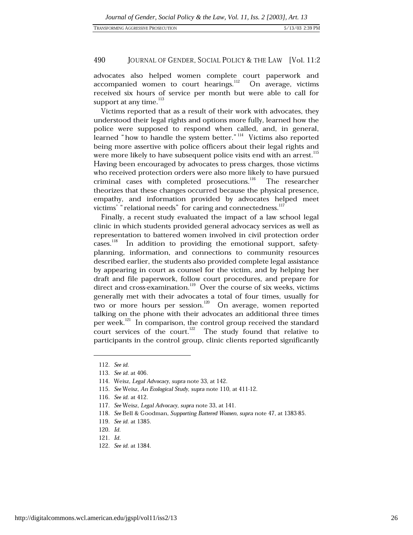advocates also helped women complete court paperwork and accompanied women to court hearings.<sup>112</sup> On average, victims received six hours of service per month but were able to call for support at any time.<sup>113</sup>

Victims reported that as a result of their work with advocates, they understood their legal rights and options more fully, learned how the police were supposed to respond when called, and, in general, learned "how to handle the system better."<sup>114</sup> Victims also reported being more assertive with police officers about their legal rights and were more likely to have subsequent police visits end with an arrest.<sup>115</sup> Having been encouraged by advocates to press charges, those victims who received protection orders were also more likely to have pursued criminal cases with completed prosecutions.<sup>116</sup> The researcher theorizes that these changes occurred because the physical presence. empathy, and information provided by advocates helped meet victims' "relational needs" for caring and connectedness.<sup>117</sup>

Finally, a recent study evaluated the impact of a law school legal clinic in which students provided general advocacy services as well as representation to battered women involved in civil protection order cases.<sup>118</sup> In addition to providing the emotional support, safetyplanning, information, and connections to community resources described earlier, the students also provided complete legal assistance by appearing in court as counsel for the victim, and by helping her draft and file paperwork, follow court procedures, and prepare for direct and cross-examination.<sup>119</sup> Over the course of six weeks, victims generally met with their advocates a total of four times, usually for two or more hours per session.<sup>120</sup> On average, women reported talking on the phone with their advocates an additional three times per week.<sup>121</sup> In comparison, the control group received the standard court services of the court.<sup>122</sup> The study found that relative to participants in the control group, clinic clients reported significantly

<sup>112.</sup> See id.

<sup>113.</sup> See id. at 406.

<sup>114.</sup> Weisz, Legal Advocacy, supra note 33, at 142.

<sup>115.</sup> See Weisz, An Ecological Study, supra note 110, at 411-12.

<sup>116.</sup> See id. at 412.

<sup>117.</sup> See Weisz, Legal Advocacy, supra note 33, at 141.

<sup>118.</sup> See Bell & Goodman, Supporting Battered Women, supra note 47, at 1383-85.

<sup>119.</sup> See id. at 1385.

<sup>120.</sup> Id.

<sup>121.</sup> Id.

<sup>122.</sup> See id. at 1384.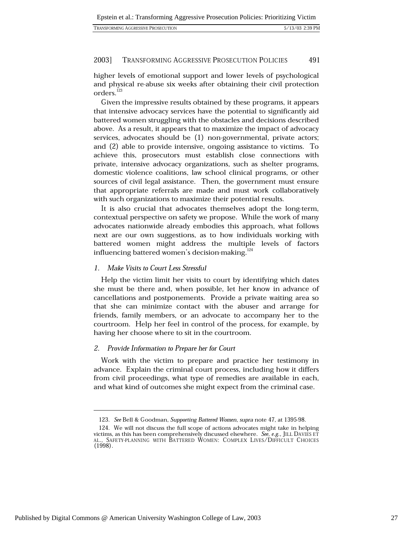| TRANSFORMING AGGRESSIVE PROSECUTION | 5/13/03 2:39 PM |
|-------------------------------------|-----------------|

higher levels of emotional support and lower levels of psychological and physical re-abuse six weeks after obtaining their civil protection orders.<sup>123</sup>

Given the impressive results obtained by these programs, it appears that intensive advocacy services have the potential to significantly aid battered women struggling with the obstacles and decisions described above. As a result, it appears that to maximize the impact of advocacy services, advocates should be (1) non-governmental, private actors; and (2) able to provide intensive, ongoing assistance to victims. To achieve this, prosecutors must establish close connections with private, intensive advocacy organizations, such as shelter programs, domestic violence coalitions, law school clinical programs, or other sources of civil legal assistance. Then, the government must ensure that appropriate referrals are made and must work collaboratively with such organizations to maximize their potential results.

It is also crucial that advocates themselves adopt the long-term, contextual perspective on safety we propose. While the work of many advocates nationwide already embodies this approach, what follows next are our own suggestions, as to how individuals working with battered women might address the multiple levels of factors influencing battered women's decision-making.<sup>124</sup>

#### Make Visits to Court Less Stressful  $1.$

Help the victim limit her visits to court by identifying which dates she must be there and, when possible, let her know in advance of cancellations and postponements. Provide a private waiting area so that she can minimize contact with the abuser and arrange for friends, family members, or an advocate to accompany her to the courtroom. Help her feel in control of the process, for example, by having her choose where to sit in the courtroom.

#### Provide Information to Prepare her for Court 2.

Work with the victim to prepare and practice her testimony in advance. Explain the criminal court process, including how it differs from civil proceedings, what type of remedies are available in each, and what kind of outcomes she might expect from the criminal case.

<sup>123.</sup> See Bell & Goodman, Supporting Battered Women, supra note 47, at 1395-98.

<sup>124.</sup> We will not discuss the full scope of actions advocates might take in helping victims, as this has been comprehensively discussed elsewhere. See, e.g., JILL DAVIES ET AL., SAFETY-PLANNING WITH BATTERED WOMEN: COMPLEX LIVES/DIFFICULT CHOICES  $(1998).$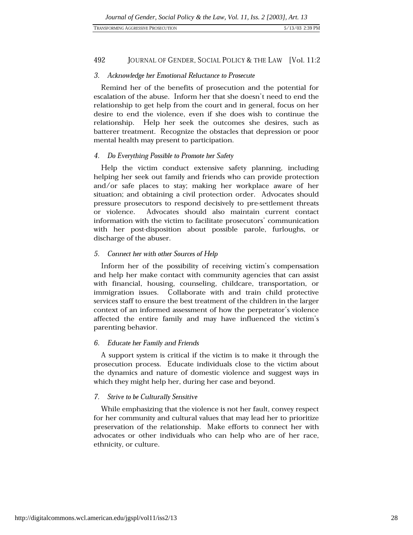# 3. Acknowledge her Emotional Reluctance to Prosecute

Remind her of the benefits of prosecution and the potential for escalation of the abuse. Inform her that she doesn't need to end the relationship to get help from the court and in general, focus on her desire to end the violence, even if she does wish to continue the relationship. Help her seek the outcomes she desires, such as batterer treatment. Recognize the obstacles that depression or poor mental health may present to participation.

### Do Everything Possible to Promote her Safety 4.

Help the victim conduct extensive safety planning, including helping her seek out family and friends who can provide protection and/or safe places to stay; making her workplace aware of her situation; and obtaining a civil protection order. Advocates should pressure prosecutors to respond decisively to pre-settlement threats Advocates should also maintain current contact or violence. information with the victim to facilitate prosecutors' communication with her post-disposition about possible parole, furloughs, or discharge of the abuser.

# 5. Connect her with other Sources of Help

Inform her of the possibility of receiving victim's compensation and help her make contact with community agencies that can assist with financial, housing, counseling, childcare, transportation, or immigration issues. Collaborate with and train child protective services staff to ensure the best treatment of the children in the larger context of an informed assessment of how the perpetrator's violence affected the entire family and may have influenced the victim's parenting behavior.

# 6. Educate her Family and Friends

A support system is critical if the victim is to make it through the prosecution process. Educate individuals close to the victim about the dynamics and nature of domestic violence and suggest ways in which they might help her, during her case and beyond.

### **Strive to be Culturally Sensitive** 7.

While emphasizing that the violence is not her fault, convey respect for her community and cultural values that may lead her to prioritize preservation of the relationship. Make efforts to connect her with advocates or other individuals who can help who are of her race, ethnicity, or culture.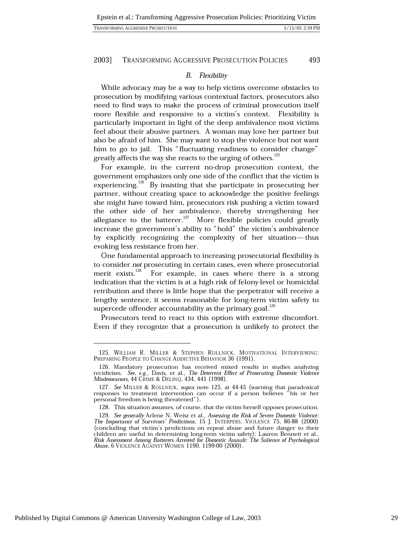### **B.** Flexibility

While advocacy may be a way to help victims overcome obstacles to prosecution by modifying various contextual factors, prosecutors also need to find ways to make the process of criminal prosecution itself more flexible and responsive to a victim's context. Flexibility is particularly important in light of the deep ambivalence most victims feel about their abusive partners. A woman may love her partner but also be afraid of him. She may want to stop the violence but not want him to go to jail. This "fluctuating readiness to consider change" greatly affects the way she reacts to the urging of others.<sup>125</sup>

For example, in the current no-drop prosecution context, the government emphasizes only one side of the conflict that the victim is experiencing.<sup>126</sup> By insisting that she participate in prosecuting her partner, without creating space to acknowledge the positive feelings she might have toward him, prosecutors risk pushing a victim toward the other side of her ambivalence, thereby strengthening her allegiance to the batterer.<sup>127</sup> More flexible policies could greatly increase the government's ability to "hold" the victim's ambivalence by explicitly recognizing the complexity of her situation-thus evoking less resistance from her.

One fundamental approach to increasing prosecutorial flexibility is to consider not prosecuting in certain cases, even where prosecutorial merit exists.<sup>128</sup> For example, in cases where there is a strong indication that the victim is at a high risk of felony-level or homicidal retribution and there is little hope that the perpetrator will receive a lengthy sentence, it seems reasonable for long-term victim safety to supercede offender accountability as the primary goal.<sup>129</sup>

Prosecutors tend to react to this option with extreme discomfort. Even if they recognize that a prosecution is unlikely to protect the

<sup>125.</sup> WILLIAM R. MILLER & STEPHEN ROLLNICK, MOTIVATIONAL INTERVIEWING: PREPARING PEOPLE TO CHANGE ADDICTIVE BEHAVIOR 36 (1991).

<sup>126.</sup> Mandatory prosecution has received mixed results in studies analyzing recidivism. See, e.g., Davis, et al., The Deterrent Effect of Prosecuting Domestic Violence Misdemeanors, 44 CRIME & DELINQ. 434, 441 (1998).

<sup>127.</sup> See MILLER & ROLLNICK, supra note 125, at 44-45 (warning that paradoxical responses to treatment intervention can occur if a person believes "his or her personal freedom is being threatened").

<sup>128.</sup> This situation assumes, of course, that the victim herself opposes prosecution.

<sup>129.</sup> See generally Arlene N. Weisz et al., Assessing the Risk of Severe Domestic Violence: The Importance of Survivors' Predictions, 15 J. INTERPERS. VIOLENCE 75, 86-88 (2000) (concluding that victim's predictions on repeat abuse and future danger to their children are useful in determining long-term victim safety); Lauren Bennett et al., Risk Assessment Among Batterers Arrested for Domestic Assault: The Salience of Psychological Abuse, 6 VIOLENCE AGAINST WOMEN 1190, 1199-00 (2000).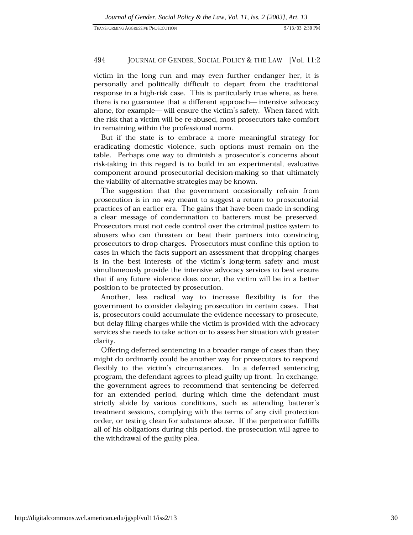victim in the long run and may even further endanger her, it is personally and politically difficult to depart from the traditional response in a high-risk case. This is particularly true where, as here, there is no guarantee that a different approach—intensive advocacy alone, for example— will ensure the victim's safety. When faced with the risk that a victim will be re-abused, most prosecutors take comfort in remaining within the professional norm.

But if the state is to embrace a more meaningful strategy for eradicating domestic violence, such options must remain on the table. Perhaps one way to diminish a prosecutor's concerns about risk-taking in this regard is to build in an experimental, evaluative component around prosecutorial decision-making so that ultimately the viability of alternative strategies may be known.

The suggestion that the government occasionally refrain from prosecution is in no way meant to suggest a return to prosecutorial practices of an earlier era. The gains that have been made in sending a clear message of condemnation to batterers must be preserved. Prosecutors must not cede control over the criminal justice system to abusers who can threaten or beat their partners into convincing prosecutors to drop charges. Prosecutors must confine this option to cases in which the facts support an assessment that dropping charges is in the best interests of the victim's long-term safety and must simultaneously provide the intensive advocacy services to best ensure that if any future violence does occur, the victim will be in a better position to be protected by prosecution.

Another, less radical way to increase flexibility is for the government to consider delaying prosecution in certain cases. That is, prosecutors could accumulate the evidence necessary to prosecute, but delay filing charges while the victim is provided with the advocacy services she needs to take action or to assess her situation with greater clarity.

Offering deferred sentencing in a broader range of cases than they might do ordinarily could be another way for prosecutors to respond flexibly to the victim's circumstances. In a deferred sentencing program, the defendant agrees to plead guilty up front. In exchange, the government agrees to recommend that sentencing be deferred for an extended period, during which time the defendant must strictly abide by various conditions, such as attending batterer's treatment sessions, complying with the terms of any civil protection order, or testing clean for substance abuse. If the perpetrator fulfills all of his obligations during this period, the prosecution will agree to the withdrawal of the guilty plea.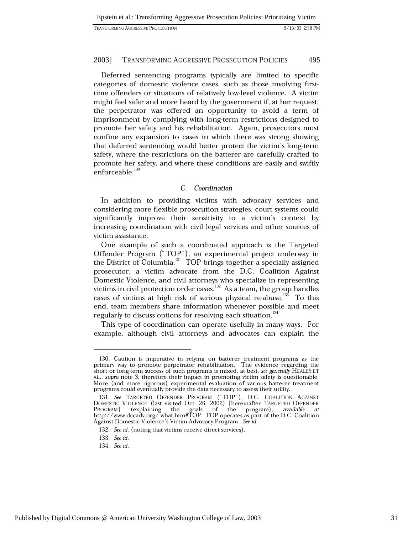| <b>TRANSFORMING AGGRESSIVE PROSECUTION</b> | 5/13/03 2:39 PM |
|--------------------------------------------|-----------------|

Deferred sentencing programs typically are limited to specific categories of domestic violence cases, such as those involving firsttime offenders or situations of relatively low-level violence. A victim might feel safer and more heard by the government if, at her request, the perpetrator was offered an opportunity to avoid a term of imprisonment by complying with long-term restrictions designed to promote her safety and his rehabilitation. Again, prosecutors must confine any expansion to cases in which there was strong showing that deferred sentencing would better protect the victim's long-term safety, where the restrictions on the batterer are carefully crafted to promote her safety, and where these conditions are easily and swiftly enforceable.<sup>130</sup>

#### $\mathcal{C}$ Coordination

In addition to providing victims with advocacy services and considering more flexible prosecution strategies, court systems could significantly improve their sensitivity to a victim's context by increasing coordination with civil legal services and other sources of victim assistance.

One example of such a coordinated approach is the Targeted Offender Program ("TOP"), an experimental project underway in the District of Columbia.<sup>131</sup> TOP brings together a specially assigned prosecutor, a victim advocate from the D.C. Coalition Against Domestic Violence, and civil attorneys who specialize in representing victims in civil protection order cases.<sup>132</sup> As a team, the group handles cases of victims at high risk of serious physical re-abuse.<sup>133</sup> To this end, team members share information whenever possible and meet regularly to discuss options for resolving each situation.<sup>134</sup>

This type of coordination can operate usefully in many ways. For example, although civil attorneys and advocates can explain the

<sup>130.</sup> Caution is imperative in relying on batterer treatment programs as the primary way to promote perpetrator rehabilitation. The evidence regarding the short or long-term success of such programs is mixed, at best, see generally HEALEY ET AL., supra note 3; therefore their impact in promoting victim safety is questionable. More (and more rigorous) experimental evaluation of various batterer treatment programs could eventually provide the data necessary to assess their utility.

<sup>131.</sup> See TARGETED OFFENDER PROGRAM ("TOP"), D.C. COALITION AGAINST DOMESTIC VIOLENCE (last visited Oct. 26, 2002) [hereinafter TARGETED OFFENDER PROGRAM] (explaining the goals of the program), available at http://www.dccadv.org/ what.htm#TOP. TOP operates as part of the D.C. Coalition Against Domestic Violence's Victim Advocacy Program. See id.

<sup>132.</sup> See id. (noting that victims receive direct services).

<sup>133.</sup> See id.

<sup>134.</sup> See id.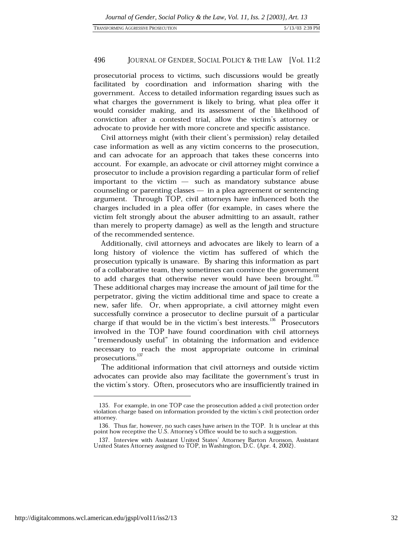prosecutorial process to victims, such discussions would be greatly facilitated by coordination and information sharing with the government. Access to detailed information regarding issues such as what charges the government is likely to bring, what plea offer it would consider making, and its assessment of the likelihood of conviction after a contested trial, allow the victim's attorney or advocate to provide her with more concrete and specific assistance.

Civil attorneys might (with their client's permission) relay detailed case information as well as any victim concerns to the prosecution, and can advocate for an approach that takes these concerns into account. For example, an advocate or civil attorney might convince a prosecutor to include a provision regarding a particular form of relief important to the victim  $-$  such as mandatory substance abuse counseling or parenting classes  $-$  in a plea agreement or sentencing argument. Through TOP, civil attorneys have influenced both the charges included in a plea offer (for example, in cases where the victim felt strongly about the abuser admitting to an assault, rather than merely to property damage) as well as the length and structure of the recommended sentence.

Additionally, civil attorneys and advocates are likely to learn of a long history of violence the victim has suffered of which the prosecution typically is unaware. By sharing this information as part of a collaborative team, they sometimes can convince the government to add charges that otherwise never would have been brought.<sup>135</sup> These additional charges may increase the amount of jail time for the perpetrator, giving the victim additional time and space to create a new, safer life. Or, when appropriate, a civil attorney might even successfully convince a prosecutor to decline pursuit of a particular charge if that would be in the victim's best interests.<sup>136</sup> Prosecutors involved in the TOP have found coordination with civil attorneys "tremendously useful" in obtaining the information and evidence necessary to reach the most appropriate outcome in criminal prosecutions.<sup>137</sup>

The additional information that civil attorneys and outside victim advocates can provide also may facilitate the government's trust in the victim's story. Often, prosecutors who are insufficiently trained in

<sup>135.</sup> For example, in one TOP case the prosecution added a civil protection order violation charge based on information provided by the victim's civil protection order attorney.

<sup>136.</sup> Thus far, however, no such cases have arisen in the TOP. It is unclear at this point how receptive the U.S. Attorney's Office would be to such a suggestion.

<sup>137.</sup> Interview with Assistant United States' Attorney Barton Aronson, Assistant United States Attorney assigned to TOP, in Washington, D.C. (Apr. 4, 2002).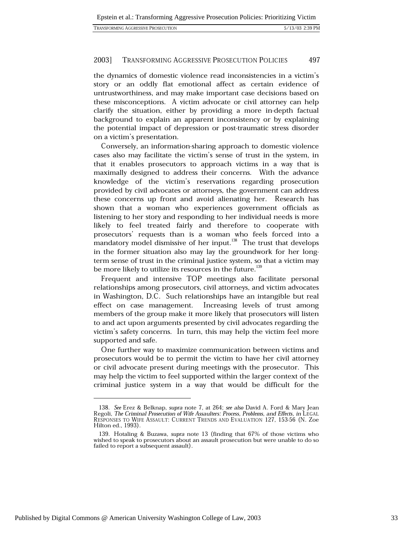| TRANSFORMING AGGRESSIVE PROSECUTION | 5/13/03 2:39 PM |
|-------------------------------------|-----------------|

the dynamics of domestic violence read inconsistencies in a victim's story or an oddly flat emotional affect as certain evidence of untrustworthiness, and may make important case decisions based on these misconceptions. A victim advocate or civil attorney can help clarify the situation, either by providing a more in-depth factual background to explain an apparent inconsistency or by explaining the potential impact of depression or post-traumatic stress disorder on a victim's presentation.

Conversely, an information-sharing approach to domestic violence cases also may facilitate the victim's sense of trust in the system, in that it enables prosecutors to approach victims in a way that is maximally designed to address their concerns. With the advance knowledge of the victim's reservations regarding prosecution provided by civil advocates or attorneys, the government can address these concerns up front and avoid alienating her. Research has shown that a woman who experiences government officials as listening to her story and responding to her individual needs is more likely to feel treated fairly and therefore to cooperate with prosecutors' requests than is a woman who feels forced into a mandatory model dismissive of her input.<sup>138</sup> The trust that develops in the former situation also may lay the groundwork for her longterm sense of trust in the criminal justice system, so that a victim may be more likely to utilize its resources in the future.<sup>139</sup>

Frequent and intensive TOP meetings also facilitate personal relationships among prosecutors, civil attorneys, and victim advocates in Washington, D.C. Such relationships have an intangible but real effect on case management. Increasing levels of trust among members of the group make it more likely that prosecutors will listen to and act upon arguments presented by civil advocates regarding the victim's safety concerns. In turn, this may help the victim feel more supported and safe.

One further way to maximize communication between victims and prosecutors would be to permit the victim to have her civil attorney or civil advocate present during meetings with the prosecutor. This may help the victim to feel supported within the larger context of the criminal justice system in a way that would be difficult for the

<sup>138.</sup> See Erez & Belknap, supra note 7, at 264; see also David A. Ford & Mary Jean Regoli, The Criminal Prosecution of Wife Assaulters: Process, Problems, and Effects, in LEGAL RESPONSES TO WIFE ASSAULT: CURRENT TRENDS AND EVALUATION 127, 153-56 (N. Zoe Hilton ed., 1993).

<sup>139.</sup> Hotaling & Buzawa, supra note 13 (finding that 67% of those victims who wished to speak to prosecutors about an assault prosecution but were unable to do so failed to report a subsequent assault).